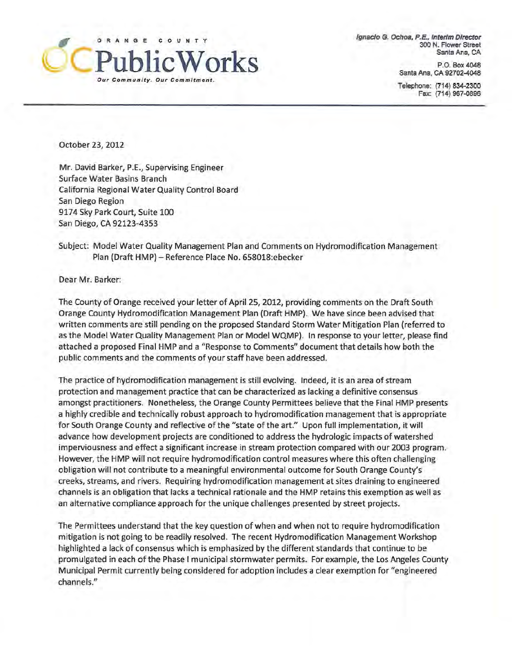

ignacio G. Ochoa, P.E., Interim Director 300 N. Flower Street Santa Ana, CA

> P.O. Box 4048 Santa Ana, CA 92702-4048

Telephone: (714) 834-2300 Fax: (714) 967-0896

October 23, 2012

Mr. David Barker, P.E., Supervising Engineer Surface Water Basins Branch Ca lifornia Regional Water Quality Control Board San Diego Region 9174 Sky Park Court, Suite 100 San Diego, CA 92123-4353

Subject: Model Water Quality Management Plan and Comments on Hydromodification Management Plan (Draft HMP) - Reference Place No. 658018:ebecker

Dear Mr. Barker:

The County of Orange received your letter of April 25, 2012, providing comments on the Draft South Orange County Hydromodification Management Plan (Draft HMP). We have since been advised that written comments are still pending on the proposed Standard Storm Water Mitigation Plan (referred to as the Model Water Quality Management Plan or Model WQMP). In response to your letter, please find attached a proposed Final HMP and a "Response to Comments" document that details how both the public comments and the comments of your staff have been addressed.

The practice of hydromodification management is still evolving. Indeed, it is an area of stream protection and management practice that can be characterized as lacking a definitive consensus amongst practitioners. Nonetheless, the Orange County Permittees believe that the Final HMP presents a highly credible and technically robust approach to hydromodification management that is appropriate for South Orange County and reflective of the "state of the art." Upon full implementation, it will advance how development projects are conditioned to address the hydrologic impacts of watershed imperviousness and effect a significant increase in stream protection compared with our 2003 program. However, the HMP will not require hydromodification control measures where this often challenging obligation will not contribute to a meaningful environmental outcome for South Orange County's creeks, streams, and rivers. Requiring hydromodification management at sites draining to engineered channels is an obligation that lacks a technical rationale and the HMP retains this exemption as well as an alternative compliance approach for the unique challenges presented by street projects.

The Permittees understand that the key question of when and when not to require hydromodification mitigation is not going to be readily resolved. The recent Hydromodification Management Workshop highlighted a lack of consensus which is emphasized by the different standards that continue to be promulgated in each of the Phase I municipal stormwater permits. For example, the Los Angeles County Municipal Permit currently being considered for adoption includes a clear exemption for "engineered channels."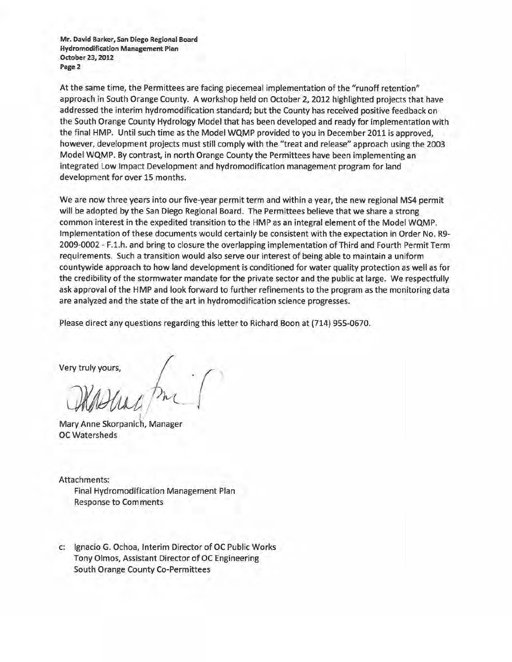Mr. David Barker, San Diego Regional Board Hydromodification Management Plan October23,2012 Page 2

At the same time, the Permittees are facing piecemeal implementation of the "runoff retention" approach in South Orange County. A workshop held on October 2, 2012 highlighted projects that have addressed the interim hydromodification standard; but the County has received positive feedback on the South Orange County Hydrology Model that has been developed and ready for implementation with the final HMP. Until such time as the Model WQMP provided to you in December 2011 is approved, however, development projects must still comply with the "treat and release" approach using the 2003 Model WQMP. By contrast, in north Orange County the Permittees have been implementing an integrated Low Impact Development and hydromodification management program for land development for over 15 months.

We are now three years into our five-year permit term and within a year, the new regional MS4 permit will be adopted by the San Diego Regional Board. The Permittees believe that we share a strong common interest in the expedited transition to the HMP as an integral element of the Model WQMP. Implementation of these documents would certainly be consistent with the expectation in Order No. R9- 2009-0002 - F.l.h. and bring to closure the overlapping implementation of Third and Fourth Permit Term requirements. Such a transition would also serve our interest of being able to maintain a uniform countywide approach to how land development is conditioned for water quality protection as well as for the credibility of the stormwater mandate for the private sector and the public at large. We respectfully ask approval of the HMP and look forward to further refinements to the program as the monitoring data are analyzed and the state of the art in hydromodification science progresses.

Please direct any questions regarding this letter to Richard Boon at (714) 955-0670.

Very truly yours,  $\begin{pmatrix} 1 & 1 \\ 1 & 1 \end{pmatrix}$ Mary m

Mary Anne Skorpanich, Manager OC Watersheds

Attachments: Final Hydromodification Management Plan Response to Comments

c: Ignacio G. Ochoa, Interim Director of OC Public Works Tony Olmos, Assistant Director of OC Engineering South Orange County Co-Permittees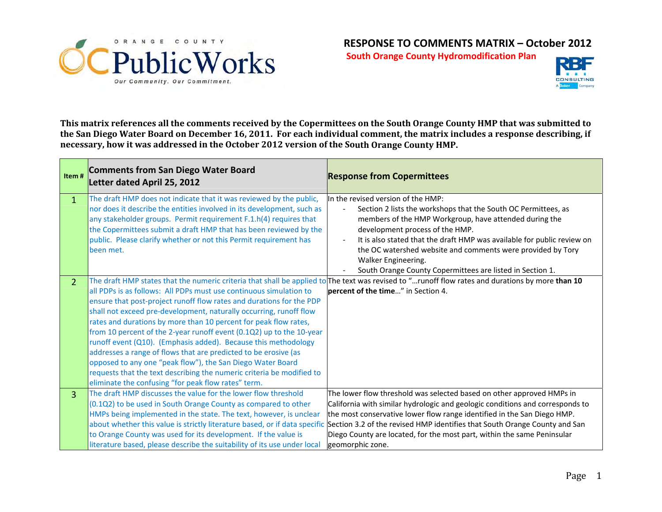

**South Orange County Hydromodification Plan**



This matrix references all the comments received by the Copermittees on the South Orange County HMP that was submitted to the San Diego Water Board on December 16, 2011. For each individual comment, the matrix includes a response describing, if **necessary, how it was addressed in the October 2012 version of the South Orange County HMP.**

| Item#          | <b>Comments from San Diego Water Board</b><br>Letter dated April 25, 2012                                                                                                                                                                                                                                                                                                                                                                                                                                                                                                                                                                                                                       | <b>Response from Copermittees</b>                                                                                                                                                                                                                                                                                                                                                                                                                                                         |
|----------------|-------------------------------------------------------------------------------------------------------------------------------------------------------------------------------------------------------------------------------------------------------------------------------------------------------------------------------------------------------------------------------------------------------------------------------------------------------------------------------------------------------------------------------------------------------------------------------------------------------------------------------------------------------------------------------------------------|-------------------------------------------------------------------------------------------------------------------------------------------------------------------------------------------------------------------------------------------------------------------------------------------------------------------------------------------------------------------------------------------------------------------------------------------------------------------------------------------|
| $\mathbf{1}$   | The draft HMP does not indicate that it was reviewed by the public,<br>nor does it describe the entities involved in its development, such as<br>any stakeholder groups. Permit requirement F.1.h(4) requires that<br>the Copermittees submit a draft HMP that has been reviewed by the<br>public. Please clarify whether or not this Permit requirement has<br>been met.                                                                                                                                                                                                                                                                                                                       | In the revised version of the HMP:<br>Section 2 lists the workshops that the South OC Permittees, as<br>members of the HMP Workgroup, have attended during the<br>development process of the HMP.<br>It is also stated that the draft HMP was available for public review on<br>the OC watershed website and comments were provided by Tory<br>Walker Engineering.<br>South Orange County Copermittees are listed in Section 1.                                                           |
| $\overline{2}$ | all PDPs is as follows: All PDPs must use continuous simulation to<br>ensure that post-project runoff flow rates and durations for the PDP<br>shall not exceed pre-development, naturally occurring, runoff flow<br>rates and durations by more than 10 percent for peak flow rates,<br>from 10 percent of the 2-year runoff event (0.1Q2) up to the 10-year<br>runoff event (Q10). (Emphasis added). Because this methodology<br>addresses a range of flows that are predicted to be erosive (as<br>opposed to any one "peak flow"), the San Diego Water Board<br>requests that the text describing the numeric criteria be modified to<br>eliminate the confusing "for peak flow rates" term. | The draft HMP states that the numeric criteria that shall be applied to The text was revised to "runoff flow rates and durations by more than 10<br>percent of the time" in Section 4.                                                                                                                                                                                                                                                                                                    |
| $\overline{3}$ | The draft HMP discusses the value for the lower flow threshold<br>(0.1Q2) to be used in South Orange County as compared to other<br>HMPs being implemented in the state. The text, however, is unclear<br>to Orange County was used for its development. If the value is<br>literature based, please describe the suitability of its use under local                                                                                                                                                                                                                                                                                                                                            | The lower flow threshold was selected based on other approved HMPs in<br>California with similar hydrologic and geologic conditions and corresponds to<br>the most conservative lower flow range identified in the San Diego HMP.<br>about whether this value is strictly literature based, or if data specific Section 3.2 of the revised HMP identifies that South Orange County and San<br>Diego County are located, for the most part, within the same Peninsular<br>geomorphic zone. |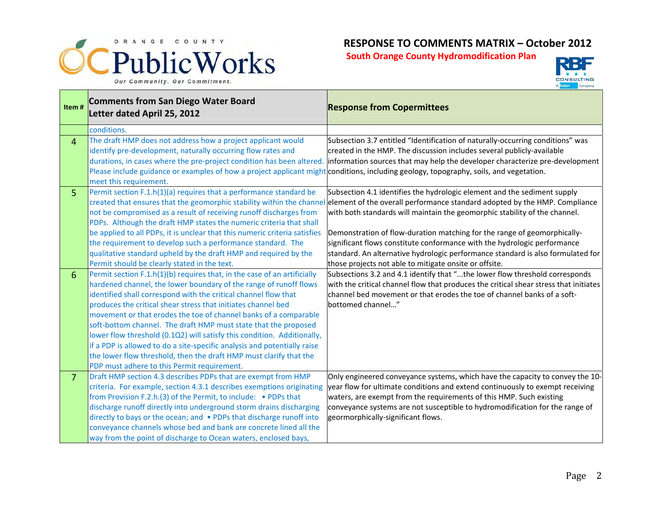



| Item#           | <b>Comments from San Diego Water Board</b><br>Letter dated April 25, 2012                                                              | <b>Response from Copermittees</b>                                                                                                                |
|-----------------|----------------------------------------------------------------------------------------------------------------------------------------|--------------------------------------------------------------------------------------------------------------------------------------------------|
|                 | conditions.                                                                                                                            |                                                                                                                                                  |
| $\overline{4}$  | The draft HMP does not address how a project applicant would                                                                           | Subsection 3.7 entitled "Identification of naturally-occurring conditions" was                                                                   |
|                 | identify pre-development, naturally occurring flow rates and                                                                           | created in the HMP. The discussion includes several publicly-available                                                                           |
|                 | durations, in cases where the pre-project condition has been altered.                                                                  | information sources that may help the developer characterize pre-development                                                                     |
|                 | Please include guidance or examples of how a project applicant might conditions, including geology, topography, soils, and vegetation. |                                                                                                                                                  |
|                 | meet this requirement.                                                                                                                 |                                                                                                                                                  |
| 5               | Permit section F.1.h(1)(a) requires that a performance standard be                                                                     | Subsection 4.1 identifies the hydrologic element and the sediment supply                                                                         |
|                 |                                                                                                                                        | created that ensures that the geomorphic stability within the channel element of the overall performance standard adopted by the HMP. Compliance |
|                 | not be compromised as a result of receiving runoff discharges from                                                                     | with both standards will maintain the geomorphic stability of the channel.                                                                       |
|                 | PDPs. Although the draft HMP states the numeric criteria that shall                                                                    |                                                                                                                                                  |
|                 | be applied to all PDPs, it is unclear that this numeric criteria satisfies                                                             | Demonstration of flow-duration matching for the range of geomorphically-                                                                         |
|                 | the requirement to develop such a performance standard. The                                                                            | significant flows constitute conformance with the hydrologic performance                                                                         |
|                 | qualitative standard upheld by the draft HMP and required by the                                                                       | standard. An alternative hydrologic performance standard is also formulated for                                                                  |
|                 | Permit should be clearly stated in the text.                                                                                           | those projects not able to mitigate onsite or offsite.                                                                                           |
| $6\phantom{1}6$ | Permit section F.1.h(1)(b) requires that, in the case of an artificially                                                               | Subsections 3.2 and 4.1 identify that "the lower flow threshold corresponds                                                                      |
|                 | hardened channel, the lower boundary of the range of runoff flows                                                                      | with the critical channel flow that produces the critical shear stress that initiates                                                            |
|                 | identified shall correspond with the critical channel flow that<br>produces the critical shear stress that initiates channel bed       | channel bed movement or that erodes the toe of channel banks of a soft-<br>bottomed channel"                                                     |
|                 | movement or that erodes the toe of channel banks of a comparable                                                                       |                                                                                                                                                  |
|                 | soft-bottom channel. The draft HMP must state that the proposed                                                                        |                                                                                                                                                  |
|                 | lower flow threshold (0.1Q2) will satisfy this condition. Additionally,                                                                |                                                                                                                                                  |
|                 | if a PDP is allowed to do a site-specific analysis and potentially raise                                                               |                                                                                                                                                  |
|                 | the lower flow threshold, then the draft HMP must clarify that the                                                                     |                                                                                                                                                  |
|                 | PDP must adhere to this Permit requirement.                                                                                            |                                                                                                                                                  |
| $\overline{7}$  | Draft HMP section 4.3 describes PDPs that are exempt from HMP                                                                          | Only engineered conveyance systems, which have the capacity to convey the 10-                                                                    |
|                 | criteria. For example, section 4.3.1 describes exemptions originating                                                                  | year flow for ultimate conditions and extend continuously to exempt receiving                                                                    |
|                 | from Provision F.2.h.(3) of the Permit, to include: • PDPs that                                                                        | waters, are exempt from the requirements of this HMP. Such existing                                                                              |
|                 | discharge runoff directly into underground storm drains discharging                                                                    | conveyance systems are not susceptible to hydromodification for the range of                                                                     |
|                 | directly to bays or the ocean; and • PDPs that discharge runoff into                                                                   | geormorphically-significant flows.                                                                                                               |
|                 | conveyance channels whose bed and bank are concrete lined all the                                                                      |                                                                                                                                                  |
|                 | way from the point of discharge to Ocean waters, enclosed bays,                                                                        |                                                                                                                                                  |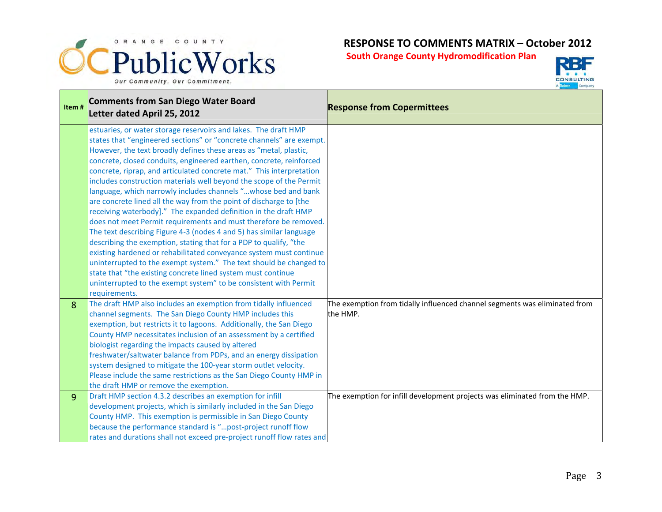



| Item# | <b>Comments from San Diego Water Board</b><br>Letter dated April 25, 2012                                                                                                                                                                                                                                                                                                                                                                                                                                                                                                                                                                                                                                                                                                                                                                                                                                                                                                                                                                                                                                                                                      | <b>Response from Copermittees</b>                                                      |
|-------|----------------------------------------------------------------------------------------------------------------------------------------------------------------------------------------------------------------------------------------------------------------------------------------------------------------------------------------------------------------------------------------------------------------------------------------------------------------------------------------------------------------------------------------------------------------------------------------------------------------------------------------------------------------------------------------------------------------------------------------------------------------------------------------------------------------------------------------------------------------------------------------------------------------------------------------------------------------------------------------------------------------------------------------------------------------------------------------------------------------------------------------------------------------|----------------------------------------------------------------------------------------|
|       | estuaries, or water storage reservoirs and lakes. The draft HMP<br>states that "engineered sections" or "concrete channels" are exempt.<br>However, the text broadly defines these areas as "metal, plastic,<br>concrete, closed conduits, engineered earthen, concrete, reinforced<br>concrete, riprap, and articulated concrete mat." This interpretation<br>includes construction materials well beyond the scope of the Permit<br>language, which narrowly includes channels "whose bed and bank<br>are concrete lined all the way from the point of discharge to [the<br>receiving waterbody]." The expanded definition in the draft HMP<br>does not meet Permit requirements and must therefore be removed.<br>The text describing Figure 4-3 (nodes 4 and 5) has similar language<br>describing the exemption, stating that for a PDP to qualify, "the<br>existing hardened or rehabilitated conveyance system must continue<br>uninterrupted to the exempt system." The text should be changed to<br>state that "the existing concrete lined system must continue<br>uninterrupted to the exempt system" to be consistent with Permit<br>requirements. |                                                                                        |
| 8     | The draft HMP also includes an exemption from tidally influenced<br>channel segments. The San Diego County HMP includes this<br>exemption, but restricts it to lagoons. Additionally, the San Diego<br>County HMP necessitates inclusion of an assessment by a certified<br>biologist regarding the impacts caused by altered<br>freshwater/saltwater balance from PDPs, and an energy dissipation<br>system designed to mitigate the 100-year storm outlet velocity.<br>Please include the same restrictions as the San Diego County HMP in<br>the draft HMP or remove the exemption.                                                                                                                                                                                                                                                                                                                                                                                                                                                                                                                                                                         | The exemption from tidally influenced channel segments was eliminated from<br>the HMP. |
| 9     | Draft HMP section 4.3.2 describes an exemption for infill<br>development projects, which is similarly included in the San Diego<br>County HMP. This exemption is permissible in San Diego County<br>because the performance standard is "post-project runoff flow<br>rates and durations shall not exceed pre-project runoff flow rates and                                                                                                                                                                                                                                                                                                                                                                                                                                                                                                                                                                                                                                                                                                                                                                                                                    | The exemption for infill development projects was eliminated from the HMP.             |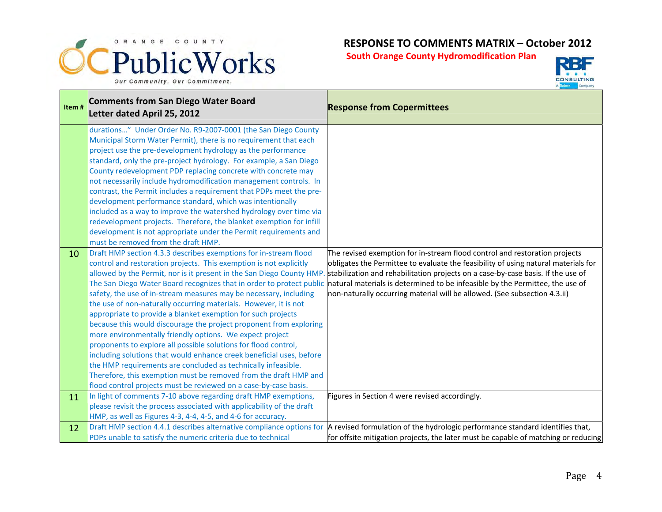



| Item# | <b>Comments from San Diego Water Board</b><br>Letter dated April 25, 2012                                                                                                                                                                                                                                                                                                                                                                                                                                                                                                                                                                                                                                                                                                                                                                                                                                                                            | <b>Response from Copermittees</b>                                                                                                                                                                                                                                                                                                                                                                                                                                                        |
|-------|------------------------------------------------------------------------------------------------------------------------------------------------------------------------------------------------------------------------------------------------------------------------------------------------------------------------------------------------------------------------------------------------------------------------------------------------------------------------------------------------------------------------------------------------------------------------------------------------------------------------------------------------------------------------------------------------------------------------------------------------------------------------------------------------------------------------------------------------------------------------------------------------------------------------------------------------------|------------------------------------------------------------------------------------------------------------------------------------------------------------------------------------------------------------------------------------------------------------------------------------------------------------------------------------------------------------------------------------------------------------------------------------------------------------------------------------------|
|       | durations" Under Order No. R9-2007-0001 (the San Diego County<br>Municipal Storm Water Permit), there is no requirement that each<br>project use the pre-development hydrology as the performance<br>standard, only the pre-project hydrology. For example, a San Diego<br>County redevelopment PDP replacing concrete with concrete may<br>not necessarily include hydromodification management controls. In<br>contrast, the Permit includes a requirement that PDPs meet the pre-<br>development performance standard, which was intentionally<br>included as a way to improve the watershed hydrology over time via<br>redevelopment projects. Therefore, the blanket exemption for infill<br>development is not appropriate under the Permit requirements and                                                                                                                                                                                   |                                                                                                                                                                                                                                                                                                                                                                                                                                                                                          |
| 10    | must be removed from the draft HMP.<br>Draft HMP section 4.3.3 describes exemptions for in-stream flood<br>control and restoration projects. This exemption is not explicitly<br>The San Diego Water Board recognizes that in order to protect public<br>safety, the use of in-stream measures may be necessary, including<br>the use of non-naturally occurring materials. However, it is not<br>appropriate to provide a blanket exemption for such projects<br>because this would discourage the project proponent from exploring<br>more environmentally friendly options. We expect project<br>proponents to explore all possible solutions for flood control,<br>including solutions that would enhance creek beneficial uses, before<br>the HMP requirements are concluded as technically infeasible.<br>Therefore, this exemption must be removed from the draft HMP and<br>flood control projects must be reviewed on a case-by-case basis. | The revised exemption for in-stream flood control and restoration projects<br>obligates the Permittee to evaluate the feasibility of using natural materials for<br>allowed by the Permit, nor is it present in the San Diego County HMP. stabilization and rehabilitation projects on a case-by-case basis. If the use of<br>natural materials is determined to be infeasible by the Permittee, the use of<br>non-naturally occurring material will be allowed. (See subsection 4.3.ii) |
| 11    | In light of comments 7-10 above regarding draft HMP exemptions,<br>please revisit the process associated with applicability of the draft<br>HMP, as well as Figures 4-3, 4-4, 4-5, and 4-6 for accuracy.                                                                                                                                                                                                                                                                                                                                                                                                                                                                                                                                                                                                                                                                                                                                             | Figures in Section 4 were revised accordingly.                                                                                                                                                                                                                                                                                                                                                                                                                                           |
| 12    | PDPs unable to satisfy the numeric criteria due to technical                                                                                                                                                                                                                                                                                                                                                                                                                                                                                                                                                                                                                                                                                                                                                                                                                                                                                         | Draft HMP section 4.4.1 describes alternative compliance options for A revised formulation of the hydrologic performance standard identifies that,<br>for offsite mitigation projects, the later must be capable of matching or reducing                                                                                                                                                                                                                                                 |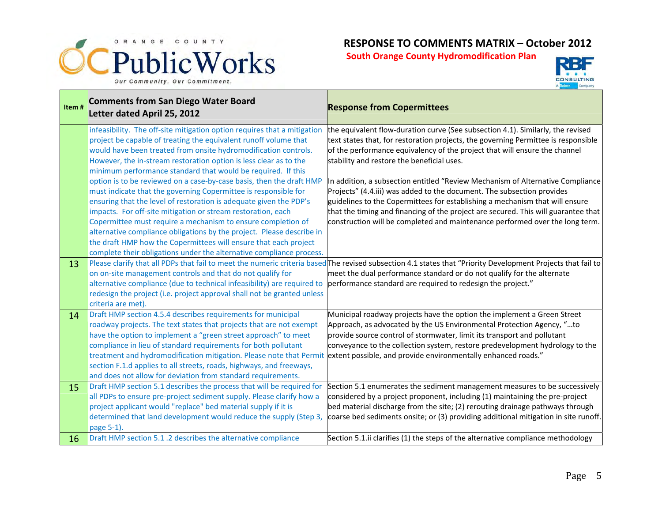



| Item#    | <b>Comments from San Diego Water Board</b><br>Letter dated April 25, 2012                                                                                                                                                                                                                                                                                                                                                                                                                                                                                                                                                                                                                                                                                                                                                                                                                                                  | <b>Response from Copermittees</b>                                                                                                                                                                                                                                                                                                                                                                                                                                                                                                                                                                                                                                                                                   |
|----------|----------------------------------------------------------------------------------------------------------------------------------------------------------------------------------------------------------------------------------------------------------------------------------------------------------------------------------------------------------------------------------------------------------------------------------------------------------------------------------------------------------------------------------------------------------------------------------------------------------------------------------------------------------------------------------------------------------------------------------------------------------------------------------------------------------------------------------------------------------------------------------------------------------------------------|---------------------------------------------------------------------------------------------------------------------------------------------------------------------------------------------------------------------------------------------------------------------------------------------------------------------------------------------------------------------------------------------------------------------------------------------------------------------------------------------------------------------------------------------------------------------------------------------------------------------------------------------------------------------------------------------------------------------|
|          | infeasibility. The off-site mitigation option requires that a mitigation<br>project be capable of treating the equivalent runoff volume that<br>would have been treated from onsite hydromodification controls.<br>However, the in-stream restoration option is less clear as to the<br>minimum performance standard that would be required. If this<br>option is to be reviewed on a case-by-case basis, then the draft HMP<br>must indicate that the governing Copermittee is responsible for<br>ensuring that the level of restoration is adequate given the PDP's<br>impacts. For off-site mitigation or stream restoration, each<br>Copermittee must require a mechanism to ensure completion of<br>alternative compliance obligations by the project. Please describe in<br>the draft HMP how the Copermittees will ensure that each project<br>complete their obligations under the alternative compliance process. | the equivalent flow-duration curve (See subsection 4.1). Similarly, the revised<br>text states that, for restoration projects, the governing Permittee is responsible<br>of the performance equivalency of the project that will ensure the channel<br>stability and restore the beneficial uses.<br>In addition, a subsection entitled "Review Mechanism of Alternative Compliance<br>Projects" (4.4.iii) was added to the document. The subsection provides<br>guidelines to the Copermittees for establishing a mechanism that will ensure<br>that the timing and financing of the project are secured. This will guarantee that<br>construction will be completed and maintenance performed over the long term. |
| 13       | on on-site management controls and that do not qualify for<br>alternative compliance (due to technical infeasibility) are required to<br>redesign the project (i.e. project approval shall not be granted unless<br>criteria are met).                                                                                                                                                                                                                                                                                                                                                                                                                                                                                                                                                                                                                                                                                     | Please clarify that all PDPs that fail to meet the numeric criteria based The revised subsection 4.1 states that "Priority Development Projects that fail to<br>meet the dual performance standard or do not qualify for the alternate<br>performance standard are required to redesign the project."                                                                                                                                                                                                                                                                                                                                                                                                               |
| 14       | Draft HMP section 4.5.4 describes requirements for municipal<br>roadway projects. The text states that projects that are not exempt<br>have the option to implement a "green street approach" to meet<br>compliance in lieu of standard requirements for both pollutant<br>treatment and hydromodification mitigation. Please note that Permit<br>section F.1.d applies to all streets, roads, highways, and freeways,<br>and does not allow for deviation from standard requirements.                                                                                                                                                                                                                                                                                                                                                                                                                                     | Municipal roadway projects have the option the implement a Green Street<br>Approach, as advocated by the US Environmental Protection Agency, "to<br>provide source control of stormwater, limit its transport and pollutant<br>conveyance to the collection system, restore predevelopment hydrology to the<br>extent possible, and provide environmentally enhanced roads."                                                                                                                                                                                                                                                                                                                                        |
| 15<br>16 | Draft HMP section 5.1 describes the process that will be required for<br>all PDPs to ensure pre-project sediment supply. Please clarify how a<br>project applicant would "replace" bed material supply if it is<br>determined that land development would reduce the supply (Step 3,<br>page 5-1).<br>Draft HMP section 5.1 .2 describes the alternative compliance                                                                                                                                                                                                                                                                                                                                                                                                                                                                                                                                                        | Section 5.1 enumerates the sediment management measures to be successively<br>considered by a project proponent, including (1) maintaining the pre-project<br>bed material discharge from the site; (2) rerouting drainage pathways through<br>coarse bed sediments onsite; or (3) providing additional mitigation in site runoff.<br>Section 5.1. ii clarifies (1) the steps of the alternative compliance methodology                                                                                                                                                                                                                                                                                             |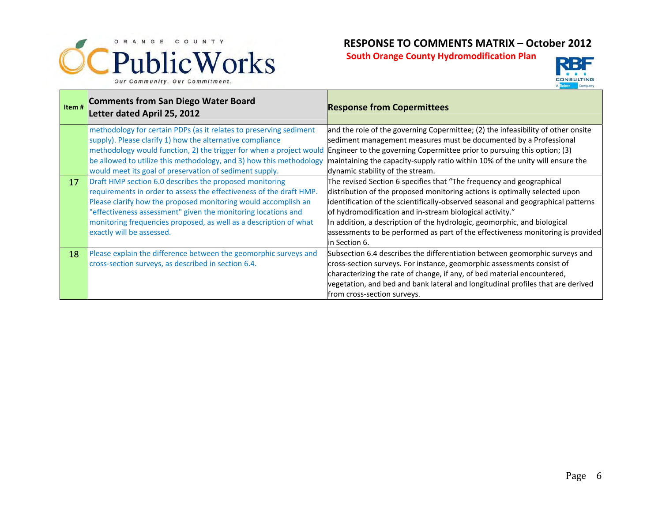



| Item# | Comments from San Diego Water Board<br>Letter dated April 25, 2012                                                              | <b>Response from Copermittees</b>                                                                                                             |
|-------|---------------------------------------------------------------------------------------------------------------------------------|-----------------------------------------------------------------------------------------------------------------------------------------------|
|       | methodology for certain PDPs (as it relates to preserving sediment<br>supply). Please clarify 1) how the alternative compliance | and the role of the governing Copermittee; (2) the infeasibility of other onsite                                                              |
|       | methodology would function, 2) the trigger for when a project would                                                             | sediment management measures must be documented by a Professional<br>Engineer to the governing Copermittee prior to pursuing this option; (3) |
|       | be allowed to utilize this methodology, and 3) how this methodology                                                             | maintaining the capacity-supply ratio within 10% of the unity will ensure the                                                                 |
|       | would meet its goal of preservation of sediment supply.                                                                         | dynamic stability of the stream.                                                                                                              |
| 17    | Draft HMP section 6.0 describes the proposed monitoring                                                                         | The revised Section 6 specifies that "The frequency and geographical                                                                          |
|       | requirements in order to assess the effectiveness of the draft HMP.                                                             | distribution of the proposed monitoring actions is optimally selected upon                                                                    |
|       | Please clarify how the proposed monitoring would accomplish an                                                                  | identification of the scientifically-observed seasonal and geographical patterns                                                              |
|       | "effectiveness assessment" given the monitoring locations and                                                                   | of hydromodification and in-stream biological activity."                                                                                      |
|       | monitoring frequencies proposed, as well as a description of what                                                               | In addition, a description of the hydrologic, geomorphic, and biological                                                                      |
|       | exactly will be assessed.                                                                                                       | assessments to be performed as part of the effectiveness monitoring is provided                                                               |
|       |                                                                                                                                 | lin Section 6.                                                                                                                                |
| 18    | Please explain the difference between the geomorphic surveys and                                                                | Subsection 6.4 describes the differentiation between geomorphic surveys and                                                                   |
|       | cross-section surveys, as described in section 6.4.                                                                             | cross-section surveys. For instance, geomorphic assessments consist of                                                                        |
|       |                                                                                                                                 | characterizing the rate of change, if any, of bed material encountered,                                                                       |
|       |                                                                                                                                 | vegetation, and bed and bank lateral and longitudinal profiles that are derived                                                               |
|       |                                                                                                                                 | from cross-section surveys.                                                                                                                   |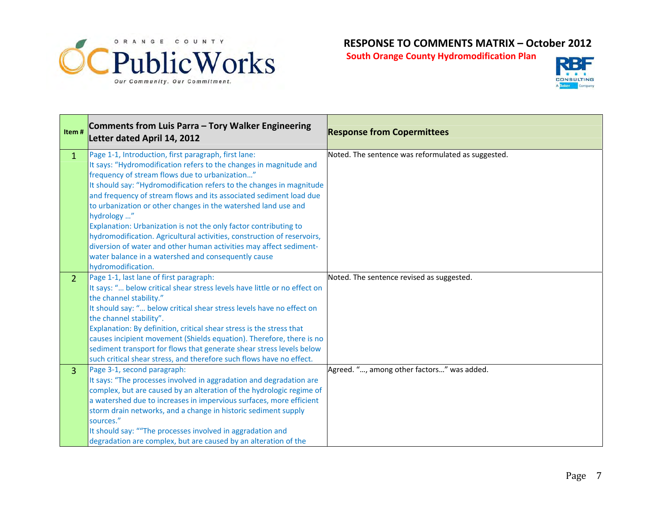



| Item#          | Comments from Luis Parra - Tory Walker Engineering<br>Letter dated April 14, 2012                                                                                                                                                                                                                                                                                                                                                                                                                                                                                                                                                                                                                             | <b>Response from Copermittees</b>                  |
|----------------|---------------------------------------------------------------------------------------------------------------------------------------------------------------------------------------------------------------------------------------------------------------------------------------------------------------------------------------------------------------------------------------------------------------------------------------------------------------------------------------------------------------------------------------------------------------------------------------------------------------------------------------------------------------------------------------------------------------|----------------------------------------------------|
| $\mathbf{1}$   | Page 1-1, Introduction, first paragraph, first lane:<br>It says: "Hydromodification refers to the changes in magnitude and<br>frequency of stream flows due to urbanization"<br>It should say: "Hydromodification refers to the changes in magnitude<br>and frequency of stream flows and its associated sediment load due<br>to urbanization or other changes in the watershed land use and<br>hydrology "<br>Explanation: Urbanization is not the only factor contributing to<br>hydromodification. Agricultural activities, construction of reservoirs,<br>diversion of water and other human activities may affect sediment-<br>water balance in a watershed and consequently cause<br>hydromodification. | Noted. The sentence was reformulated as suggested. |
| $\overline{2}$ | Page 1-1, last lane of first paragraph:<br>It says: " below critical shear stress levels have little or no effect on<br>the channel stability."<br>It should say: " below critical shear stress levels have no effect on<br>the channel stability".<br>Explanation: By definition, critical shear stress is the stress that<br>causes incipient movement (Shields equation). Therefore, there is no<br>sediment transport for flows that generate shear stress levels below<br>such critical shear stress, and therefore such flows have no effect.                                                                                                                                                           | Noted. The sentence revised as suggested.          |
| 3              | Page 3-1, second paragraph:<br>It says: "The processes involved in aggradation and degradation are<br>complex, but are caused by an alteration of the hydrologic regime of<br>a watershed due to increases in impervious surfaces, more efficient<br>storm drain networks, and a change in historic sediment supply<br>sources."<br>It should say: ""The processes involved in aggradation and<br>degradation are complex, but are caused by an alteration of the                                                                                                                                                                                                                                             | Agreed. ", among other factors" was added.         |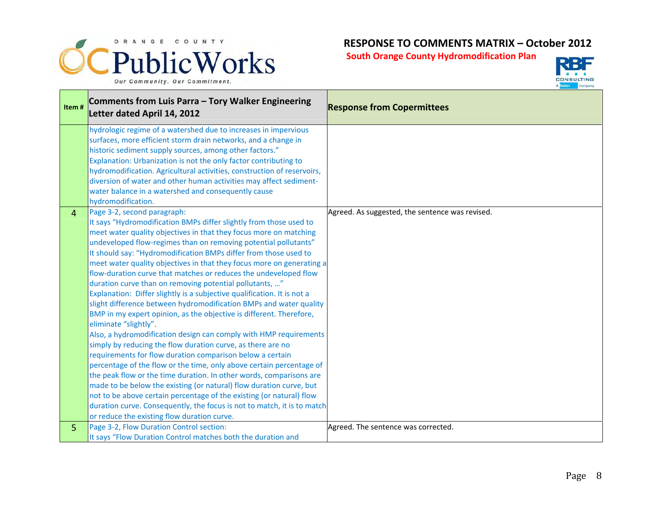



| Item# | Comments from Luis Parra - Tory Walker Engineering<br>Letter dated April 14, 2012                                                                                                                                                                                                                                                                                                                                                                                                                                                                                                                                                                                                                                                                                                                                                                                                                                                                                                                                                                                                                                                                                                                                                                                                                                                                                                               | <b>Response from Copermittees</b>               |
|-------|-------------------------------------------------------------------------------------------------------------------------------------------------------------------------------------------------------------------------------------------------------------------------------------------------------------------------------------------------------------------------------------------------------------------------------------------------------------------------------------------------------------------------------------------------------------------------------------------------------------------------------------------------------------------------------------------------------------------------------------------------------------------------------------------------------------------------------------------------------------------------------------------------------------------------------------------------------------------------------------------------------------------------------------------------------------------------------------------------------------------------------------------------------------------------------------------------------------------------------------------------------------------------------------------------------------------------------------------------------------------------------------------------|-------------------------------------------------|
|       | hydrologic regime of a watershed due to increases in impervious<br>surfaces, more efficient storm drain networks, and a change in<br>historic sediment supply sources, among other factors."<br>Explanation: Urbanization is not the only factor contributing to<br>hydromodification. Agricultural activities, construction of reservoirs,<br>diversion of water and other human activities may affect sediment-<br>water balance in a watershed and consequently cause<br>hydromodification.                                                                                                                                                                                                                                                                                                                                                                                                                                                                                                                                                                                                                                                                                                                                                                                                                                                                                                  |                                                 |
| 4     | Page 3-2, second paragraph:<br>It says "Hydromodification BMPs differ slightly from those used to<br>meet water quality objectives in that they focus more on matching<br>undeveloped flow-regimes than on removing potential pollutants"<br>It should say: "Hydromodification BMPs differ from those used to<br>meet water quality objectives in that they focus more on generating a<br>flow-duration curve that matches or reduces the undeveloped flow<br>duration curve than on removing potential pollutants, "<br>Explanation: Differ slightly is a subjective qualification. It is not a<br>slight difference between hydromodification BMPs and water quality<br>BMP in my expert opinion, as the objective is different. Therefore,<br>eliminate "slightly".<br>Also, a hydromodification design can comply with HMP requirements<br>simply by reducing the flow duration curve, as there are no<br>requirements for flow duration comparison below a certain<br>percentage of the flow or the time, only above certain percentage of<br>the peak flow or the time duration. In other words, comparisons are<br>made to be below the existing (or natural) flow duration curve, but<br>not to be above certain percentage of the existing (or natural) flow<br>duration curve. Consequently, the focus is not to match, it is to match<br>or reduce the existing flow duration curve. | Agreed. As suggested, the sentence was revised. |
| 5     | Page 3-2, Flow Duration Control section:<br>It says "Flow Duration Control matches both the duration and                                                                                                                                                                                                                                                                                                                                                                                                                                                                                                                                                                                                                                                                                                                                                                                                                                                                                                                                                                                                                                                                                                                                                                                                                                                                                        | Agreed. The sentence was corrected.             |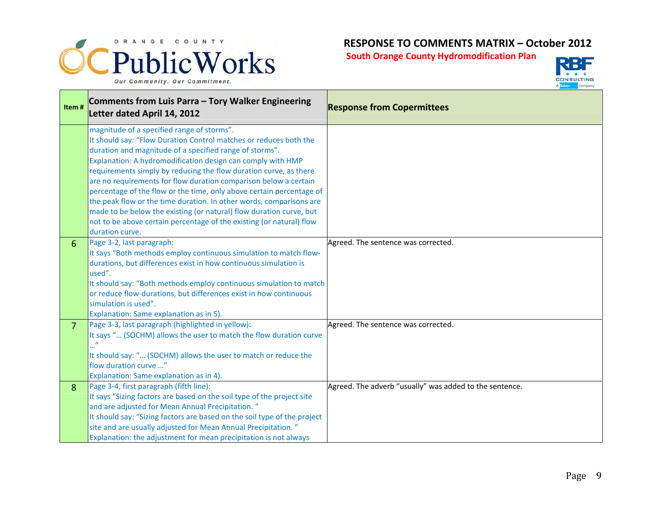



| Item#          | Comments from Luis Parra - Tory Walker Engineering<br>Letter dated April 14, 2012                                                                                                                                                                                                                                                                                                                                                                                                                                                                                                                                                                                                                   | <b>Response from Copermittees</b>                       |
|----------------|-----------------------------------------------------------------------------------------------------------------------------------------------------------------------------------------------------------------------------------------------------------------------------------------------------------------------------------------------------------------------------------------------------------------------------------------------------------------------------------------------------------------------------------------------------------------------------------------------------------------------------------------------------------------------------------------------------|---------------------------------------------------------|
|                | magnitude of a specified range of storms".<br>It should say: "Flow Duration Control matches or reduces both the<br>duration and magnitude of a specified range of storms".<br>Explanation: A hydromodification design can comply with HMP<br>requirements simply by reducing the flow duration curve, as there<br>are no requirements for flow duration comparison below a certain<br>percentage of the flow or the time, only above certain percentage of<br>the peak flow or the time duration. In other words, comparisons are<br>made to be below the existing (or natural) flow duration curve, but<br>not to be above certain percentage of the existing (or natural) flow<br>duration curve. |                                                         |
| 6              | Page 3-2, last paragraph:<br>It says "Both methods employ continuous simulation to match flow-<br>durations, but differences exist in how continuous simulation is<br>used".<br>It should say: "Both methods employ continuous simulation to match<br>or reduce flow-durations, but differences exist in how continuous<br>simulation is used".<br>Explanation: Same explanation as in 5).                                                                                                                                                                                                                                                                                                          | Agreed. The sentence was corrected.                     |
| $\overline{7}$ | Page 3-3, last paragraph (highlighted in yellow):<br>It says " (SOCHM) allows the user to match the flow duration curve<br>It should say: " (SOCHM) allows the user to match or reduce the<br>flow duration curve "<br>Explanation: Same explanation as in 4).                                                                                                                                                                                                                                                                                                                                                                                                                                      | Agreed. The sentence was corrected.                     |
| 8              | Page 3-4, first paragraph (fifth line):<br>It says "Sizing factors are based on the soil type of the project site<br>and are adjusted for Mean Annual Precipitation."<br>It should say: "Sizing factors are based on the soil type of the project<br>site and are usually adjusted for Mean Annual Precipitation."<br>Explanation: the adjustment for mean precipitation is not always                                                                                                                                                                                                                                                                                                              | Agreed. The adverb "usually" was added to the sentence. |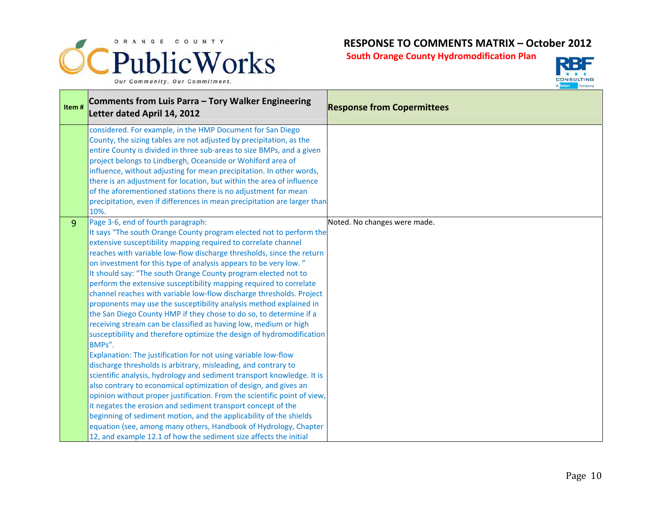



| Item#          | Comments from Luis Parra - Tory Walker Engineering<br>Letter dated April 14, 2012                                                                                                                                                                                                                                                                                                                                                                                                                                                                                                                                                                                                                                                                                                                                                                                                                                                                                                                                                                                                                                                                                                                                                                                                                                                                                                                                                                                                        | <b>Response from Copermittees</b> |
|----------------|------------------------------------------------------------------------------------------------------------------------------------------------------------------------------------------------------------------------------------------------------------------------------------------------------------------------------------------------------------------------------------------------------------------------------------------------------------------------------------------------------------------------------------------------------------------------------------------------------------------------------------------------------------------------------------------------------------------------------------------------------------------------------------------------------------------------------------------------------------------------------------------------------------------------------------------------------------------------------------------------------------------------------------------------------------------------------------------------------------------------------------------------------------------------------------------------------------------------------------------------------------------------------------------------------------------------------------------------------------------------------------------------------------------------------------------------------------------------------------------|-----------------------------------|
|                | considered. For example, in the HMP Document for San Diego<br>County, the sizing tables are not adjusted by precipitation, as the<br>entire County is divided in three sub-areas to size BMPs, and a given<br>project belongs to Lindbergh, Oceanside or Wohlford area of<br>influence, without adjusting for mean precipitation. In other words,<br>there is an adjustment for location, but within the area of influence<br>of the aforementioned stations there is no adjustment for mean<br>precipitation, even if differences in mean precipitation are larger than<br>10%.                                                                                                                                                                                                                                                                                                                                                                                                                                                                                                                                                                                                                                                                                                                                                                                                                                                                                                         |                                   |
| $\overline{9}$ | Page 3-6, end of fourth paragraph:<br>It says "The south Orange County program elected not to perform the<br>extensive susceptibility mapping required to correlate channel<br>reaches with variable low-flow discharge thresholds, since the return<br>on investment for this type of analysis appears to be very low."<br>It should say: "The south Orange County program elected not to<br>perform the extensive susceptibility mapping required to correlate<br>channel reaches with variable low-flow discharge thresholds. Project<br>proponents may use the susceptibility analysis method explained in<br>the San Diego County HMP if they chose to do so, to determine if a<br>receiving stream can be classified as having low, medium or high<br>susceptibility and therefore optimize the design of hydromodification<br>BMPs".<br>Explanation: The justification for not using variable low-flow<br>discharge thresholds is arbitrary, misleading, and contrary to<br>scientific analysis, hydrology and sediment transport knowledge. It is<br>also contrary to economical optimization of design, and gives an<br>opinion without proper justification. From the scientific point of view,<br>it negates the erosion and sediment transport concept of the<br>beginning of sediment motion, and the applicability of the shields<br>equation (see, among many others, Handbook of Hydrology, Chapter<br>12, and example 12.1 of how the sediment size affects the initial | Noted. No changes were made.      |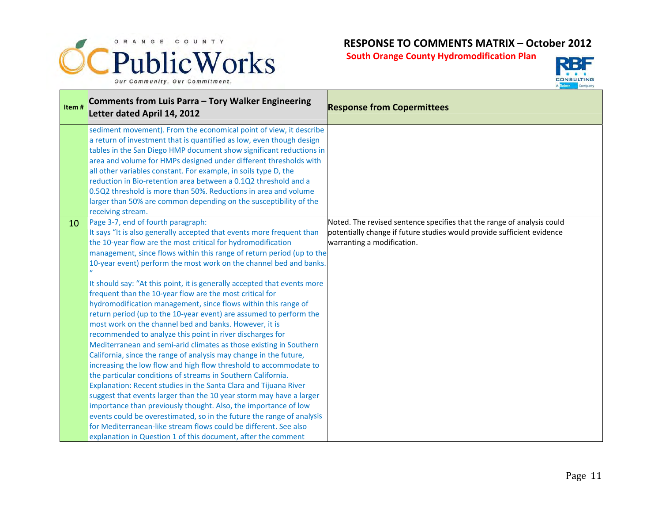



| Item# | Comments from Luis Parra - Tory Walker Engineering<br>Letter dated April 14, 2012                                                                                                                                                                                                                                                                                                                                                                                                                                                                                                                                                                                                                                                                                                                                                                                                                                                                                                                                                                                                                                                                                                                                                                                                                                                                                                                                                             | <b>Response from Copermittees</b>                                                                                                                                              |
|-------|-----------------------------------------------------------------------------------------------------------------------------------------------------------------------------------------------------------------------------------------------------------------------------------------------------------------------------------------------------------------------------------------------------------------------------------------------------------------------------------------------------------------------------------------------------------------------------------------------------------------------------------------------------------------------------------------------------------------------------------------------------------------------------------------------------------------------------------------------------------------------------------------------------------------------------------------------------------------------------------------------------------------------------------------------------------------------------------------------------------------------------------------------------------------------------------------------------------------------------------------------------------------------------------------------------------------------------------------------------------------------------------------------------------------------------------------------|--------------------------------------------------------------------------------------------------------------------------------------------------------------------------------|
|       | sediment movement). From the economical point of view, it describe<br>a return of investment that is quantified as low, even though design<br>tables in the San Diego HMP document show significant reductions in<br>area and volume for HMPs designed under different thresholds with<br>all other variables constant. For example, in soils type D, the<br>reduction in Bio-retention area between a 0.1Q2 threshold and a<br>0.5Q2 threshold is more than 50%. Reductions in area and volume<br>larger than 50% are common depending on the susceptibility of the<br>receiving stream.                                                                                                                                                                                                                                                                                                                                                                                                                                                                                                                                                                                                                                                                                                                                                                                                                                                     |                                                                                                                                                                                |
| 10    | Page 3-7, end of fourth paragraph:<br>It says "It is also generally accepted that events more frequent than<br>the 10-year flow are the most critical for hydromodification<br>management, since flows within this range of return period (up to the<br>10-year event) perform the most work on the channel bed and banks.<br>It should say: "At this point, it is generally accepted that events more<br>frequent than the 10-year flow are the most critical for<br>hydromodification management, since flows within this range of<br>return period (up to the 10-year event) are assumed to perform the<br>most work on the channel bed and banks. However, it is<br>recommended to analyze this point in river discharges for<br>Mediterranean and semi-arid climates as those existing in Southern<br>California, since the range of analysis may change in the future,<br>increasing the low flow and high flow threshold to accommodate to<br>the particular conditions of streams in Southern California.<br>Explanation: Recent studies in the Santa Clara and Tijuana River<br>suggest that events larger than the 10 year storm may have a larger<br>importance than previously thought. Also, the importance of low<br>events could be overestimated, so in the future the range of analysis<br>for Mediterranean-like stream flows could be different. See also<br>explanation in Question 1 of this document, after the comment | Noted. The revised sentence specifies that the range of analysis could<br>potentially change if future studies would provide sufficient evidence<br>warranting a modification. |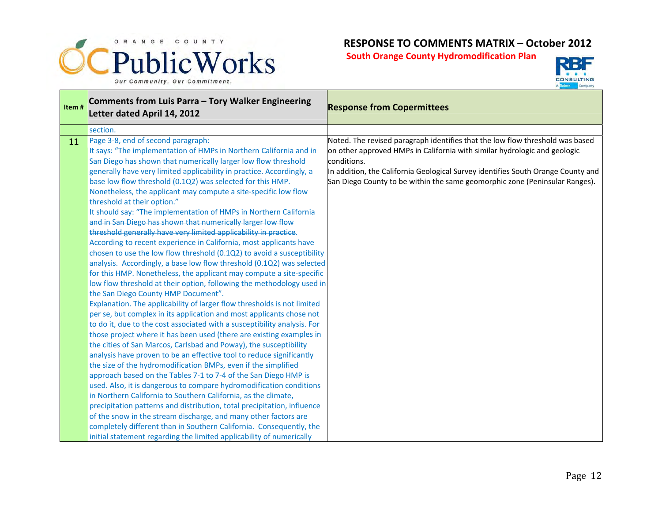



| Comments from Luis Parra - Tory Walker Engineering<br><b>Response from Copermittees</b><br>Letter dated April 14, 2012                                                                                                                                                                                                                                                                                                                                                                                                                                                                                                                                                                                                                                                                                                                                                                                                                                                                                                                                                                                                                                                                                                                                                                                                                                                                                                                                                                                                                                                                                                                                                                                                                                                                                                                                                                                                                                                                                                                                                                                                                                                                                                                                                                                               |
|----------------------------------------------------------------------------------------------------------------------------------------------------------------------------------------------------------------------------------------------------------------------------------------------------------------------------------------------------------------------------------------------------------------------------------------------------------------------------------------------------------------------------------------------------------------------------------------------------------------------------------------------------------------------------------------------------------------------------------------------------------------------------------------------------------------------------------------------------------------------------------------------------------------------------------------------------------------------------------------------------------------------------------------------------------------------------------------------------------------------------------------------------------------------------------------------------------------------------------------------------------------------------------------------------------------------------------------------------------------------------------------------------------------------------------------------------------------------------------------------------------------------------------------------------------------------------------------------------------------------------------------------------------------------------------------------------------------------------------------------------------------------------------------------------------------------------------------------------------------------------------------------------------------------------------------------------------------------------------------------------------------------------------------------------------------------------------------------------------------------------------------------------------------------------------------------------------------------------------------------------------------------------------------------------------------------|
|                                                                                                                                                                                                                                                                                                                                                                                                                                                                                                                                                                                                                                                                                                                                                                                                                                                                                                                                                                                                                                                                                                                                                                                                                                                                                                                                                                                                                                                                                                                                                                                                                                                                                                                                                                                                                                                                                                                                                                                                                                                                                                                                                                                                                                                                                                                      |
| Page 3-8, end of second paragraph:<br>Noted. The revised paragraph identifies that the low flow threshold was based<br>It says: "The implementation of HMPs in Northern California and in<br>on other approved HMPs in California with similar hydrologic and geologic<br>conditions.<br>San Diego has shown that numerically larger low flow threshold<br>generally have very limited applicability in practice. Accordingly, a<br>In addition, the California Geological Survey identifies South Orange County and<br>base low flow threshold (0.1Q2) was selected for this HMP.<br>San Diego County to be within the same geomorphic zone (Peninsular Ranges).<br>Nonetheless, the applicant may compute a site-specific low flow<br>It should say: "The implementation of HMPs in Northern California<br>and in San Diego has shown that numerically larger low flow<br>threshold generally have very limited applicability in practice.<br>According to recent experience in California, most applicants have<br>chosen to use the low flow threshold (0.1Q2) to avoid a susceptibility<br>analysis. Accordingly, a base low flow threshold (0.1Q2) was selected<br>for this HMP. Nonetheless, the applicant may compute a site-specific<br>low flow threshold at their option, following the methodology used in<br>the San Diego County HMP Document".<br>Explanation. The applicability of larger flow thresholds is not limited<br>per se, but complex in its application and most applicants chose not<br>to do it, due to the cost associated with a susceptibility analysis. For<br>those project where it has been used (there are existing examples in<br>the cities of San Marcos, Carlsbad and Poway), the susceptibility<br>analysis have proven to be an effective tool to reduce significantly<br>the size of the hydromodification BMPs, even if the simplified<br>approach based on the Tables 7-1 to 7-4 of the San Diego HMP is<br>used. Also, it is dangerous to compare hydromodification conditions<br>in Northern California to Southern California, as the climate,<br>precipitation patterns and distribution, total precipitation, influence<br>of the snow in the stream discharge, and many other factors are<br>completely different than in Southern California. Consequently, the |
| initial statement regarding the limited applicability of numerically                                                                                                                                                                                                                                                                                                                                                                                                                                                                                                                                                                                                                                                                                                                                                                                                                                                                                                                                                                                                                                                                                                                                                                                                                                                                                                                                                                                                                                                                                                                                                                                                                                                                                                                                                                                                                                                                                                                                                                                                                                                                                                                                                                                                                                                 |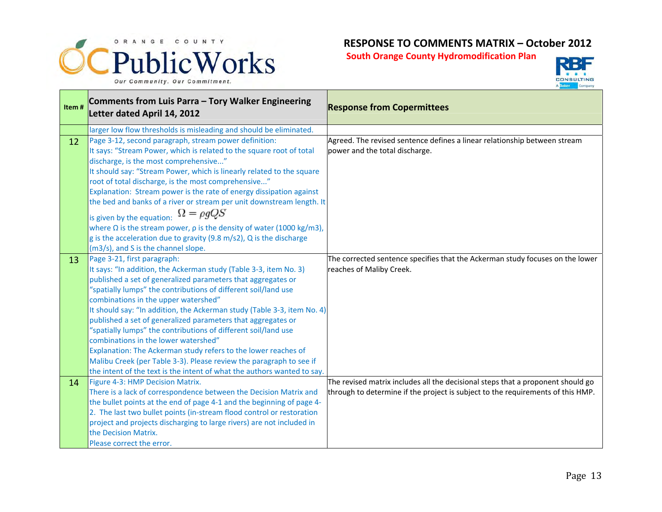



| Item# | Comments from Luis Parra - Tory Walker Engineering<br>Letter dated April 14, 2012                                                                                                                                                                                                                                                                                                                                                                                                                                                                                                                                                                                                                                                                   | <b>Response from Copermittees</b>                                                                                                                                  |
|-------|-----------------------------------------------------------------------------------------------------------------------------------------------------------------------------------------------------------------------------------------------------------------------------------------------------------------------------------------------------------------------------------------------------------------------------------------------------------------------------------------------------------------------------------------------------------------------------------------------------------------------------------------------------------------------------------------------------------------------------------------------------|--------------------------------------------------------------------------------------------------------------------------------------------------------------------|
|       | larger low flow thresholds is misleading and should be eliminated.                                                                                                                                                                                                                                                                                                                                                                                                                                                                                                                                                                                                                                                                                  |                                                                                                                                                                    |
| 12    | Page 3-12, second paragraph, stream power definition:<br>It says: "Stream Power, which is related to the square root of total<br>discharge, is the most comprehensive"<br>It should say: "Stream Power, which is linearly related to the square<br>root of total discharge, is the most comprehensive"<br>Explanation: Stream power is the rate of energy dissipation against<br>the bed and banks of a river or stream per unit downstream length. It<br>is given by the equation: $\Omega = \rho g Q S$<br>where $\Omega$ is the stream power, $\rho$ is the density of water (1000 kg/m3),<br>g is the acceleration due to gravity (9.8 m/s2), Q is the discharge<br>(m3/s), and S is the channel slope.                                         | Agreed. The revised sentence defines a linear relationship between stream<br>power and the total discharge.                                                        |
| 13    | Page 3-21, first paragraph:<br>It says: "In addition, the Ackerman study (Table 3-3, item No. 3)<br>published a set of generalized parameters that aggregates or<br>"spatially lumps" the contributions of different soil/land use<br>combinations in the upper watershed"<br>It should say: "In addition, the Ackerman study (Table 3-3, item No. 4)<br>published a set of generalized parameters that aggregates or<br>"spatially lumps" the contributions of different soil/land use<br>combinations in the lower watershed"<br>Explanation: The Ackerman study refers to the lower reaches of<br>Malibu Creek (per Table 3-3). Please review the paragraph to see if<br>the intent of the text is the intent of what the authors wanted to say. | The corrected sentence specifies that the Ackerman study focuses on the lower<br>reaches of Maliby Creek.                                                          |
| 14    | Figure 4-3: HMP Decision Matrix.<br>There is a lack of correspondence between the Decision Matrix and<br>the bullet points at the end of page 4-1 and the beginning of page 4-<br>2. The last two bullet points (in-stream flood control or restoration<br>project and projects discharging to large rivers) are not included in<br>the Decision Matrix.<br>Please correct the error.                                                                                                                                                                                                                                                                                                                                                               | The revised matrix includes all the decisional steps that a proponent should go<br>through to determine if the project is subject to the requirements of this HMP. |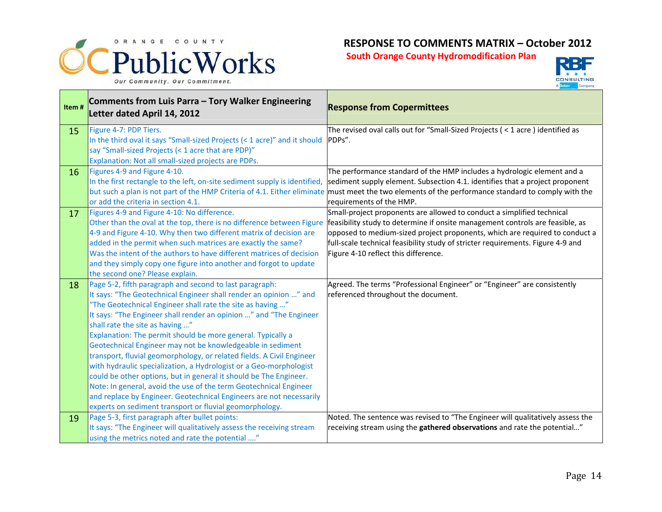



| Item# | Comments from Luis Parra - Tory Walker Engineering<br>Letter dated April 14, 2012                                                                                                                                                                                                                                                                                                                                                                                                                                                                                                                                                                                                                                                                                                                                                                           | <b>Response from Copermittees</b>                                                                                                                                                                                                                                                                                                                                 |
|-------|-------------------------------------------------------------------------------------------------------------------------------------------------------------------------------------------------------------------------------------------------------------------------------------------------------------------------------------------------------------------------------------------------------------------------------------------------------------------------------------------------------------------------------------------------------------------------------------------------------------------------------------------------------------------------------------------------------------------------------------------------------------------------------------------------------------------------------------------------------------|-------------------------------------------------------------------------------------------------------------------------------------------------------------------------------------------------------------------------------------------------------------------------------------------------------------------------------------------------------------------|
| 15    | Figure 4-7: PDP Tiers.<br>In the third oval it says "Small-sized Projects (< 1 acre)" and it should<br>say "Small-sized Projects (< 1 acre that are PDP)"<br>Explanation: Not all small-sized projects are PDPs.                                                                                                                                                                                                                                                                                                                                                                                                                                                                                                                                                                                                                                            | The revised oval calls out for "Small-Sized Projects (< 1 acre) identified as<br>PDPs".                                                                                                                                                                                                                                                                           |
| 16    | Figures 4-9 and Figure 4-10.<br>In the first rectangle to the left, on-site sediment supply is identified,<br>or add the criteria in section 4.1.                                                                                                                                                                                                                                                                                                                                                                                                                                                                                                                                                                                                                                                                                                           | The performance standard of the HMP includes a hydrologic element and a<br>sediment supply element. Subsection 4.1. identifies that a project proponent<br>but such a plan is not part of the HMP Criteria of 4.1. Either eliminate must meet the two elements of the performance standard to comply with the<br>requirements of the HMP.                         |
| 17    | Figures 4-9 and Figure 4-10: No difference.<br>Other than the oval at the top, there is no difference between Figure<br>4-9 and Figure 4-10. Why then two different matrix of decision are<br>added in the permit when such matrices are exactly the same?<br>Was the intent of the authors to have different matrices of decision<br>and they simply copy one figure into another and forgot to update<br>the second one? Please explain.                                                                                                                                                                                                                                                                                                                                                                                                                  | Small-project proponents are allowed to conduct a simplified technical<br>feasibility study to determine if onsite management controls are feasible, as<br>opposed to medium-sized project proponents, which are required to conduct a<br>full-scale technical feasibility study of stricter requirements. Figure 4-9 and<br>Figure 4-10 reflect this difference. |
| 18    | Page 5-2, fifth paragraph and second to last paragraph:<br>It says: "The Geotechnical Engineer shall render an opinion " and<br>"The Geotechnical Engineer shall rate the site as having "<br>It says: "The Engineer shall render an opinion " and "The Engineer<br>shall rate the site as having "<br>Explanation: The permit should be more general. Typically a<br>Geotechnical Engineer may not be knowledgeable in sediment<br>transport, fluvial geomorphology, or related fields. A Civil Engineer<br>with hydraulic specialization, a Hydrologist or a Geo-morphologist<br>could be other options, but in general it should be The Engineer.<br>Note: In general, avoid the use of the term Geotechnical Engineer<br>and replace by Engineer. Geotechnical Engineers are not necessarily<br>experts on sediment transport or fluvial geomorphology. | Agreed. The terms "Professional Engineer" or "Engineer" are consistently<br>referenced throughout the document.                                                                                                                                                                                                                                                   |
| 19    | Page 5-3, first paragraph after bullet points:<br>It says: "The Engineer will qualitatively assess the receiving stream<br>using the metrics noted and rate the potential "                                                                                                                                                                                                                                                                                                                                                                                                                                                                                                                                                                                                                                                                                 | Noted. The sentence was revised to "The Engineer will qualitatively assess the<br>receiving stream using the gathered observations and rate the potential"                                                                                                                                                                                                        |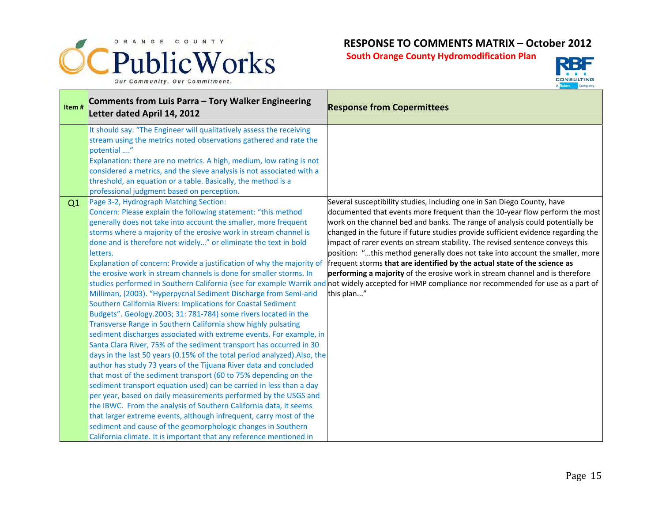



| Item# | Comments from Luis Parra - Tory Walker Engineering<br>Letter dated April 14, 2012                                                                                                                                                                                                                                                                                                                                                                                                                                                                                                                                                                                                                                                                                                                                                                                                                                                                                                                                                                                                                                                                                                                                                                                                                                                                                                                                                                                              | <b>Response from Copermittees</b>                                                                                                                                                                                                                                                                                                                                                                                                                                                                                                                                                                                                                                                                                                                                                                                             |
|-------|--------------------------------------------------------------------------------------------------------------------------------------------------------------------------------------------------------------------------------------------------------------------------------------------------------------------------------------------------------------------------------------------------------------------------------------------------------------------------------------------------------------------------------------------------------------------------------------------------------------------------------------------------------------------------------------------------------------------------------------------------------------------------------------------------------------------------------------------------------------------------------------------------------------------------------------------------------------------------------------------------------------------------------------------------------------------------------------------------------------------------------------------------------------------------------------------------------------------------------------------------------------------------------------------------------------------------------------------------------------------------------------------------------------------------------------------------------------------------------|-------------------------------------------------------------------------------------------------------------------------------------------------------------------------------------------------------------------------------------------------------------------------------------------------------------------------------------------------------------------------------------------------------------------------------------------------------------------------------------------------------------------------------------------------------------------------------------------------------------------------------------------------------------------------------------------------------------------------------------------------------------------------------------------------------------------------------|
|       | It should say: "The Engineer will qualitatively assess the receiving<br>stream using the metrics noted observations gathered and rate the<br>potential "<br>Explanation: there are no metrics. A high, medium, low rating is not<br>considered a metrics, and the sieve analysis is not associated with a<br>threshold, an equation or a table. Basically, the method is a<br>professional judgment based on perception.                                                                                                                                                                                                                                                                                                                                                                                                                                                                                                                                                                                                                                                                                                                                                                                                                                                                                                                                                                                                                                                       |                                                                                                                                                                                                                                                                                                                                                                                                                                                                                                                                                                                                                                                                                                                                                                                                                               |
| Q1    | Page 3-2, Hydrograph Matching Section:<br>Concern: Please explain the following statement: "this method<br>generally does not take into account the smaller, more frequent<br>storms where a majority of the erosive work in stream channel is<br>done and is therefore not widely" or eliminate the text in bold<br>letters.<br>Explanation of concern: Provide a justification of why the majority of<br>the erosive work in stream channels is done for smaller storms. In<br>Milliman, (2003). "Hyperpycnal Sediment Discharge from Semi-arid<br>Southern California Rivers: Implications for Coastal Sediment<br>Budgets". Geology.2003; 31: 781-784) some rivers located in the<br>Transverse Range in Southern California show highly pulsating<br>sediment discharges associated with extreme events. For example, in<br>Santa Clara River, 75% of the sediment transport has occurred in 30<br>days in the last 50 years (0.15% of the total period analyzed). Also, the<br>author has study 73 years of the Tijuana River data and concluded<br>that most of the sediment transport (60 to 75% depending on the<br>sediment transport equation used) can be carried in less than a day<br>per year, based on daily measurements performed by the USGS and<br>the IBWC. From the analysis of Southern California data, it seems<br>that larger extreme events, although infrequent, carry most of the<br>sediment and cause of the geomorphologic changes in Southern | Several susceptibility studies, including one in San Diego County, have<br>documented that events more frequent than the 10-year flow perform the most<br>work on the channel bed and banks. The range of analysis could potentially be<br>changed in the future if future studies provide sufficient evidence regarding the<br>impact of rarer events on stream stability. The revised sentence conveys this<br>position: "this method generally does not take into account the smaller, more<br>frequent storms that are identified by the actual state of the science as<br>performing a majority of the erosive work in stream channel and is therefore<br>studies performed in Southern California (see for example Warrik and not widely accepted for HMP compliance nor recommended for use as a part of<br>this plan" |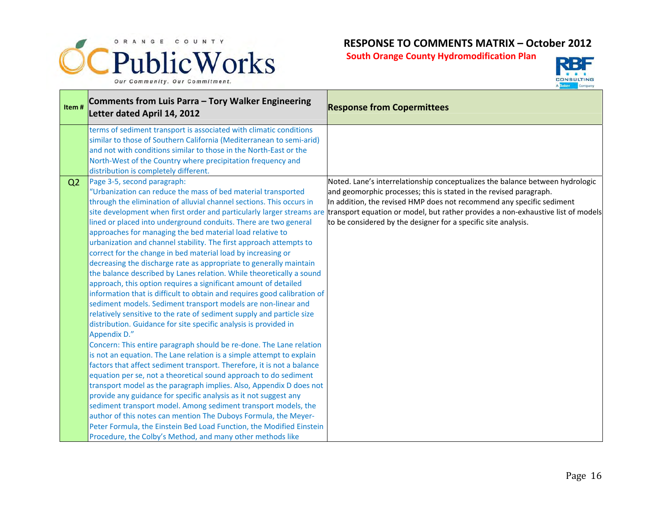



| Item#          | Comments from Luis Parra - Tory Walker Engineering<br>Letter dated April 14, 2012                                                                                                                                                                                                                                                                                                                                                                                                                                                                                                                                                                                                                                                                                                                                                                                                                                                                                                                                                                                                                                                                                                                                                                                                                                                                                                                                                                                                                                                                                                                                                                                                         | <b>Response from Copermittees</b>                                                                                                                                                                                                                                                                                                                                                                                                                        |
|----------------|-------------------------------------------------------------------------------------------------------------------------------------------------------------------------------------------------------------------------------------------------------------------------------------------------------------------------------------------------------------------------------------------------------------------------------------------------------------------------------------------------------------------------------------------------------------------------------------------------------------------------------------------------------------------------------------------------------------------------------------------------------------------------------------------------------------------------------------------------------------------------------------------------------------------------------------------------------------------------------------------------------------------------------------------------------------------------------------------------------------------------------------------------------------------------------------------------------------------------------------------------------------------------------------------------------------------------------------------------------------------------------------------------------------------------------------------------------------------------------------------------------------------------------------------------------------------------------------------------------------------------------------------------------------------------------------------|----------------------------------------------------------------------------------------------------------------------------------------------------------------------------------------------------------------------------------------------------------------------------------------------------------------------------------------------------------------------------------------------------------------------------------------------------------|
|                | terms of sediment transport is associated with climatic conditions<br>similar to those of Southern California (Mediterranean to semi-arid)<br>and not with conditions similar to those in the North-East or the<br>North-West of the Country where precipitation frequency and<br>distribution is completely different.                                                                                                                                                                                                                                                                                                                                                                                                                                                                                                                                                                                                                                                                                                                                                                                                                                                                                                                                                                                                                                                                                                                                                                                                                                                                                                                                                                   |                                                                                                                                                                                                                                                                                                                                                                                                                                                          |
| Q <sub>2</sub> | Page 3-5, second paragraph:<br>"Urbanization can reduce the mass of bed material transported<br>through the elimination of alluvial channel sections. This occurs in<br>lined or placed into underground conduits. There are two general<br>approaches for managing the bed material load relative to<br>urbanization and channel stability. The first approach attempts to<br>correct for the change in bed material load by increasing or<br>decreasing the discharge rate as appropriate to generally maintain<br>the balance described by Lanes relation. While theoretically a sound<br>approach, this option requires a significant amount of detailed<br>information that is difficult to obtain and requires good calibration of<br>sediment models. Sediment transport models are non-linear and<br>relatively sensitive to the rate of sediment supply and particle size<br>distribution. Guidance for site specific analysis is provided in<br>Appendix D."<br>Concern: This entire paragraph should be re-done. The Lane relation<br>is not an equation. The Lane relation is a simple attempt to explain<br>factors that affect sediment transport. Therefore, it is not a balance<br>equation per se, not a theoretical sound approach to do sediment<br>transport model as the paragraph implies. Also, Appendix D does not<br>provide any guidance for specific analysis as it not suggest any<br>sediment transport model. Among sediment transport models, the<br>author of this notes can mention The Duboys Formula, the Meyer-<br>Peter Formula, the Einstein Bed Load Function, the Modified Einstein<br>Procedure, the Colby's Method, and many other methods like | Noted. Lane's interrelationship conceptualizes the balance between hydrologic<br>and geomorphic processes; this is stated in the revised paragraph.<br>In addition, the revised HMP does not recommend any specific sediment<br>site development when first order and particularly larger streams are transport equation or model, but rather provides a non-exhaustive list of models<br>to be considered by the designer for a specific site analysis. |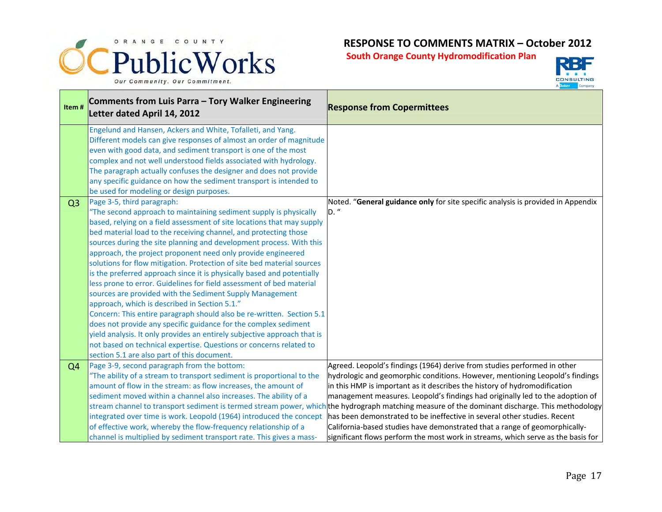



| Item#          | Comments from Luis Parra - Tory Walker Engineering<br>Letter dated April 14, 2012                                                                                                                    | <b>Response from Copermittees</b>                                                                                                                                                                                               |
|----------------|------------------------------------------------------------------------------------------------------------------------------------------------------------------------------------------------------|---------------------------------------------------------------------------------------------------------------------------------------------------------------------------------------------------------------------------------|
|                | Engelund and Hansen, Ackers and White, Tofalleti, and Yang.<br>Different models can give responses of almost an order of magnitude<br>even with good data, and sediment transport is one of the most |                                                                                                                                                                                                                                 |
|                | complex and not well understood fields associated with hydrology.                                                                                                                                    |                                                                                                                                                                                                                                 |
|                | The paragraph actually confuses the designer and does not provide                                                                                                                                    |                                                                                                                                                                                                                                 |
|                | any specific guidance on how the sediment transport is intended to<br>be used for modeling or design purposes.                                                                                       |                                                                                                                                                                                                                                 |
| Q <sub>3</sub> | Page 3-5, third paragraph:                                                                                                                                                                           | Noted. "General guidance only for site specific analysis is provided in Appendix                                                                                                                                                |
|                | "The second approach to maintaining sediment supply is physically                                                                                                                                    | D."                                                                                                                                                                                                                             |
|                | based, relying on a field assessment of site locations that may supply                                                                                                                               |                                                                                                                                                                                                                                 |
|                | bed material load to the receiving channel, and protecting those                                                                                                                                     |                                                                                                                                                                                                                                 |
|                | sources during the site planning and development process. With this<br>approach, the project proponent need only provide engineered                                                                  |                                                                                                                                                                                                                                 |
|                | solutions for flow mitigation. Protection of site bed material sources                                                                                                                               |                                                                                                                                                                                                                                 |
|                | is the preferred approach since it is physically based and potentially                                                                                                                               |                                                                                                                                                                                                                                 |
|                | less prone to error. Guidelines for field assessment of bed material                                                                                                                                 |                                                                                                                                                                                                                                 |
|                | sources are provided with the Sediment Supply Management                                                                                                                                             |                                                                                                                                                                                                                                 |
|                | approach, which is described in Section 5.1."                                                                                                                                                        |                                                                                                                                                                                                                                 |
|                | Concern: This entire paragraph should also be re-written. Section 5.1                                                                                                                                |                                                                                                                                                                                                                                 |
|                | does not provide any specific guidance for the complex sediment<br>yield analysis. It only provides an entirely subjective approach that is                                                          |                                                                                                                                                                                                                                 |
|                | not based on technical expertise. Questions or concerns related to                                                                                                                                   |                                                                                                                                                                                                                                 |
|                | section 5.1 are also part of this document.                                                                                                                                                          |                                                                                                                                                                                                                                 |
| Q <sub>4</sub> | Page 3-9, second paragraph from the bottom:                                                                                                                                                          | Agreed. Leopold's findings (1964) derive from studies performed in other                                                                                                                                                        |
|                | "The ability of a stream to transport sediment is proportional to the                                                                                                                                | hydrologic and geomorphic conditions. However, mentioning Leopold's findings                                                                                                                                                    |
|                | amount of flow in the stream: as flow increases, the amount of                                                                                                                                       | in this HMP is important as it describes the history of hydromodification                                                                                                                                                       |
|                | sediment moved within a channel also increases. The ability of a                                                                                                                                     | management measures. Leopold's findings had originally led to the adoption of<br>stream channel to transport sediment is termed stream power, which the hydrograph matching measure of the dominant discharge. This methodology |
|                | integrated over time is work. Leopold (1964) introduced the concept                                                                                                                                  | has been demonstrated to be ineffective in several other studies. Recent                                                                                                                                                        |
|                | of effective work, whereby the flow-frequency relationship of a                                                                                                                                      | California-based studies have demonstrated that a range of geomorphically-                                                                                                                                                      |
|                | channel is multiplied by sediment transport rate. This gives a mass-                                                                                                                                 | significant flows perform the most work in streams, which serve as the basis for                                                                                                                                                |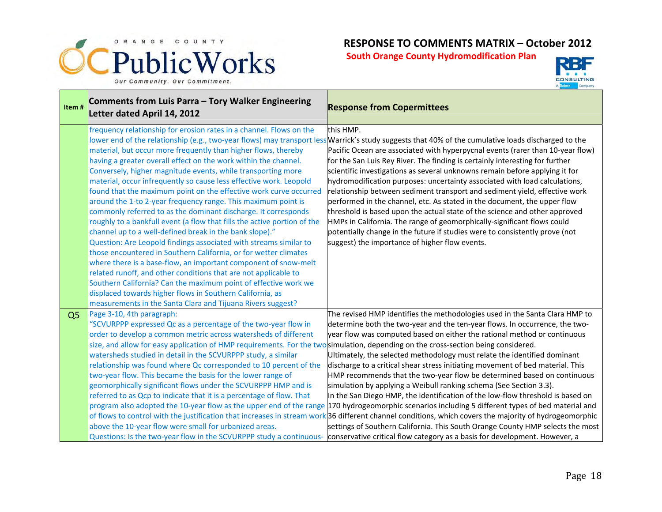



| Item#          | Comments from Luis Parra - Tory Walker Engineering<br>Letter dated April 14, 2012                                                                                                                                                                                                                                                                                                                                                                                                                                                                                                                                                                                                                                                                                                                                                                                                                                                                                                                                                                                                                                                                                           | <b>Response from Copermittees</b>                                                                                                                                                                                                                                                                                                                                                                                                                                                                                                                                                                                                                                                                                                                                                                                                                                                                                                                                                                                                                                                                                      |
|----------------|-----------------------------------------------------------------------------------------------------------------------------------------------------------------------------------------------------------------------------------------------------------------------------------------------------------------------------------------------------------------------------------------------------------------------------------------------------------------------------------------------------------------------------------------------------------------------------------------------------------------------------------------------------------------------------------------------------------------------------------------------------------------------------------------------------------------------------------------------------------------------------------------------------------------------------------------------------------------------------------------------------------------------------------------------------------------------------------------------------------------------------------------------------------------------------|------------------------------------------------------------------------------------------------------------------------------------------------------------------------------------------------------------------------------------------------------------------------------------------------------------------------------------------------------------------------------------------------------------------------------------------------------------------------------------------------------------------------------------------------------------------------------------------------------------------------------------------------------------------------------------------------------------------------------------------------------------------------------------------------------------------------------------------------------------------------------------------------------------------------------------------------------------------------------------------------------------------------------------------------------------------------------------------------------------------------|
|                | frequency relationship for erosion rates in a channel. Flows on the<br>material, but occur more frequently than higher flows, thereby<br>having a greater overall effect on the work within the channel.<br>Conversely, higher magnitude events, while transporting more<br>material, occur infrequently so cause less effective work. Leopold<br>found that the maximum point on the effective work curve occurred<br>around the 1-to 2-year frequency range. This maximum point is<br>commonly referred to as the dominant discharge. It corresponds<br>roughly to a bankfull event (a flow that fills the active portion of the<br>channel up to a well-defined break in the bank slope)."<br>Question: Are Leopold findings associated with streams similar to<br>those encountered in Southern California, or for wetter climates<br>where there is a base-flow, an important component of snow-melt<br>related runoff, and other conditions that are not applicable to<br>Southern California? Can the maximum point of effective work we<br>displaced towards higher flows in Southern California, as<br>measurements in the Santa Clara and Tijuana Rivers suggest? | this HMP.<br>lower end of the relationship (e.g., two-year flows) may transport less Warrick's study suggests that 40% of the cumulative loads discharged to the<br>Pacific Ocean are associated with hyperpycnal events (rarer than 10-year flow)<br>for the San Luis Rey River. The finding is certainly interesting for further<br>scientific investigations as several unknowns remain before applying it for<br>hydromodification purposes: uncertainty associated with load calculations,<br>relationship between sediment transport and sediment yield, effective work<br>performed in the channel, etc. As stated in the document, the upper flow<br>threshold is based upon the actual state of the science and other approved<br>HMPs in California. The range of geomorphically-significant flows could<br>potentially change in the future if studies were to consistently prove (not<br>suggest) the importance of higher flow events.                                                                                                                                                                    |
| Q <sub>5</sub> | Page 3-10, 4th paragraph:<br>"SCVURPPP expressed Qc as a percentage of the two-year flow in<br>order to develop a common metric across watersheds of different<br>size, and allow for easy application of HMP requirements. For the two <b>simulation, depending on the cross-section being considered.</b><br>watersheds studied in detail in the SCVURPPP study, a similar<br>relationship was found where Qc corresponded to 10 percent of the<br>two-year flow. This became the basis for the lower range of<br>geomorphically significant flows under the SCVURPPP HMP and is<br>referred to as Qcp to indicate that it is a percentage of flow. That<br>above the 10-year flow were small for urbanized areas.<br>Questions: Is the two-year flow in the SCVURPPP study a continuous-                                                                                                                                                                                                                                                                                                                                                                                 | The revised HMP identifies the methodologies used in the Santa Clara HMP to<br>determine both the two-year and the ten-year flows. In occurrence, the two-<br>year flow was computed based on either the rational method or continuous<br>Ultimately, the selected methodology must relate the identified dominant<br>discharge to a critical shear stress initiating movement of bed material. This<br>HMP recommends that the two-year flow be determined based on continuous<br>simulation by applying a Weibull ranking schema (See Section 3.3).<br>In the San Diego HMP, the identification of the low-flow threshold is based on<br>program also adopted the 10-year flow as the upper end of the range 170 hydrogeomorphic scenarios including 5 different types of bed material and<br>of flows to control with the justification that increases in stream work 36 different channel conditions, which covers the majority of hydrogeomorphic<br>settings of Southern California. This South Orange County HMP selects the most<br>conservative critical flow category as a basis for development. However, a |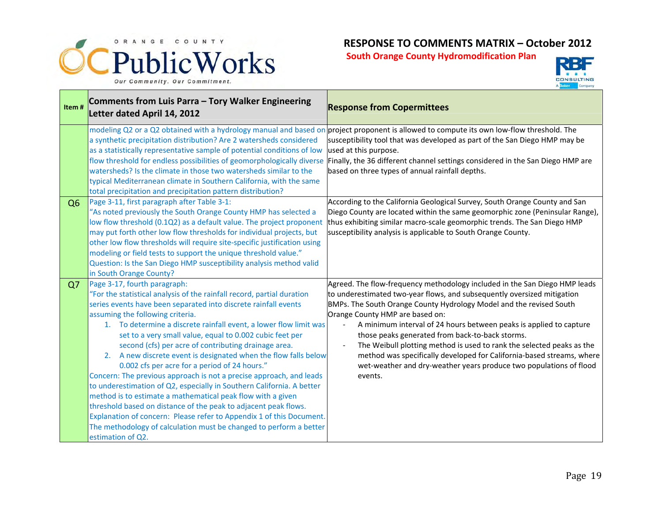



| Item#          | Comments from Luis Parra - Tory Walker Engineering<br>Letter dated April 14, 2012                                                                                                                                                                                                                                                                                                                                                                                                                                                                                                                                                                                                                                                                                                                                                                                                                                                                                               | <b>Response from Copermittees</b>                                                                                                                                                                                                                                                                                                                                                                                                                                                                                                                                                                                           |
|----------------|---------------------------------------------------------------------------------------------------------------------------------------------------------------------------------------------------------------------------------------------------------------------------------------------------------------------------------------------------------------------------------------------------------------------------------------------------------------------------------------------------------------------------------------------------------------------------------------------------------------------------------------------------------------------------------------------------------------------------------------------------------------------------------------------------------------------------------------------------------------------------------------------------------------------------------------------------------------------------------|-----------------------------------------------------------------------------------------------------------------------------------------------------------------------------------------------------------------------------------------------------------------------------------------------------------------------------------------------------------------------------------------------------------------------------------------------------------------------------------------------------------------------------------------------------------------------------------------------------------------------------|
|                | a synthetic precipitation distribution? Are 2 watersheds considered<br>as a statistically representative sample of potential conditions of low<br>watersheds? Is the climate in those two watersheds similar to the<br>typical Mediterranean climate in Southern California, with the same<br>total precipitation and precipitation pattern distribution?                                                                                                                                                                                                                                                                                                                                                                                                                                                                                                                                                                                                                       | modeling Q2 or a Q2 obtained with a hydrology manual and based on project proponent is allowed to compute its own low-flow threshold. The<br>susceptibility tool that was developed as part of the San Diego HMP may be<br>used at this purpose.<br>flow threshold for endless possibilities of geomorphologically diverse Finally, the 36 different channel settings considered in the San Diego HMP are<br>based on three types of annual rainfall depths.                                                                                                                                                                |
| Q <sub>6</sub> | Page 3-11, first paragraph after Table 3-1:<br>"As noted previously the South Orange County HMP has selected a<br>low flow threshold (0.1Q2) as a default value. The project proponent<br>may put forth other low flow thresholds for individual projects, but<br>other low flow thresholds will require site-specific justification using<br>modeling or field tests to support the unique threshold value."<br>Question: Is the San Diego HMP susceptibility analysis method valid<br>in South Orange County?                                                                                                                                                                                                                                                                                                                                                                                                                                                                 | According to the California Geological Survey, South Orange County and San<br>Diego County are located within the same geomorphic zone (Peninsular Range),<br>thus exhibiting similar macro-scale geomorphic trends. The San Diego HMP<br>susceptibility analysis is applicable to South Orange County.                                                                                                                                                                                                                                                                                                                     |
| Q7             | Page 3-17, fourth paragraph:<br>"For the statistical analysis of the rainfall record, partial duration<br>series events have been separated into discrete rainfall events<br>assuming the following criteria.<br>1. To determine a discrete rainfall event, a lower flow limit was<br>set to a very small value, equal to 0.002 cubic feet per<br>second (cfs) per acre of contributing drainage area.<br>2. A new discrete event is designated when the flow falls below<br>0.002 cfs per acre for a period of 24 hours."<br>Concern: The previous approach is not a precise approach, and leads<br>to underestimation of Q2, especially in Southern California. A better<br>method is to estimate a mathematical peak flow with a given<br>threshold based on distance of the peak to adjacent peak flows.<br>Explanation of concern: Please refer to Appendix 1 of this Document.<br>The methodology of calculation must be changed to perform a better<br>estimation of Q2. | Agreed. The flow-frequency methodology included in the San Diego HMP leads<br>to underestimated two-year flows, and subsequently oversized mitigation<br>BMPs. The South Orange County Hydrology Model and the revised South<br>Orange County HMP are based on:<br>A minimum interval of 24 hours between peaks is applied to capture<br>those peaks generated from back-to-back storms.<br>The Weibull plotting method is used to rank the selected peaks as the<br>method was specifically developed for California-based streams, where<br>wet-weather and dry-weather years produce two populations of flood<br>events. |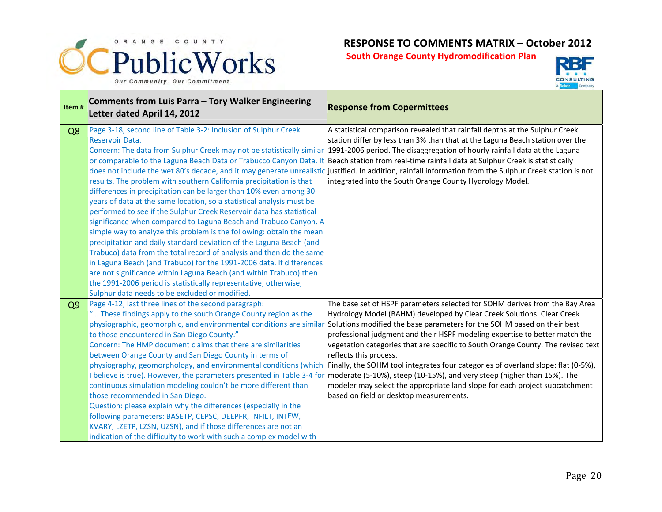



| Item#          | Comments from Luis Parra - Tory Walker Engineering<br>Letter dated April 14, 2012                                                                                                                                                                                                                                                                                                                                                                                                                                                                                                                                                                                                                                                                                                                                                                                                                                                                                                                                                                                                                    | <b>Response from Copermittees</b>                                                                                                                                                                                                                                                                                                                                                                                                                                                                                                                                                                                                                                                                                       |
|----------------|------------------------------------------------------------------------------------------------------------------------------------------------------------------------------------------------------------------------------------------------------------------------------------------------------------------------------------------------------------------------------------------------------------------------------------------------------------------------------------------------------------------------------------------------------------------------------------------------------------------------------------------------------------------------------------------------------------------------------------------------------------------------------------------------------------------------------------------------------------------------------------------------------------------------------------------------------------------------------------------------------------------------------------------------------------------------------------------------------|-------------------------------------------------------------------------------------------------------------------------------------------------------------------------------------------------------------------------------------------------------------------------------------------------------------------------------------------------------------------------------------------------------------------------------------------------------------------------------------------------------------------------------------------------------------------------------------------------------------------------------------------------------------------------------------------------------------------------|
| Q8             | Page 3-18, second line of Table 3-2: Inclusion of Sulphur Creek<br><b>Reservoir Data.</b><br>Concern: The data from Sulphur Creek may not be statistically similar<br>or comparable to the Laguna Beach Data or Trabucco Canyon Data. It<br>results. The problem with southern California precipitation is that<br>differences in precipitation can be larger than 10% even among 30<br>years of data at the same location, so a statistical analysis must be<br>performed to see if the Sulphur Creek Reservoir data has statistical<br>significance when compared to Laguna Beach and Trabuco Canyon. A<br>simple way to analyze this problem is the following: obtain the mean<br>precipitation and daily standard deviation of the Laguna Beach (and<br>Trabuco) data from the total record of analysis and then do the same<br>in Laguna Beach (and Trabuco) for the 1991-2006 data. If differences<br>are not significance within Laguna Beach (and within Trabuco) then<br>the 1991-2006 period is statistically representative; otherwise,<br>Sulphur data needs to be excluded or modified. | A statistical comparison revealed that rainfall depths at the Sulphur Creek<br>station differ by less than 3% than that at the Laguna Beach station over the<br>1991-2006 period. The disaggregation of hourly rainfall data at the Laguna<br>Beach station from real-time rainfall data at Sulphur Creek is statistically<br>does not include the wet 80's decade, and it may generate unrealistic justified. In addition, rainfall information from the Sulphur Creek station is not<br>integrated into the South Orange County Hydrology Model.                                                                                                                                                                      |
| Q <sub>9</sub> | Page 4-12, last three lines of the second paragraph:<br>" These findings apply to the south Orange County region as the<br>physiographic, geomorphic, and environmental conditions are similar<br>to those encountered in San Diego County."<br>Concern: The HMP document claims that there are similarities<br>between Orange County and San Diego County in terms of<br>physiography, geomorphology, and environmental conditions (which<br>I believe is true). However, the parameters presented in Table 3-4 for<br>continuous simulation modeling couldn't be more different than<br>those recommended in San Diego.<br>Question: please explain why the differences (especially in the<br>following parameters: BASETP, CEPSC, DEEPFR, INFILT, INTFW,<br>KVARY, LZETP, LZSN, UZSN), and if those differences are not an<br>indication of the difficulty to work with such a complex model with                                                                                                                                                                                                 | The base set of HSPF parameters selected for SOHM derives from the Bay Area<br>Hydrology Model (BAHM) developed by Clear Creek Solutions. Clear Creek<br>Solutions modified the base parameters for the SOHM based on their best<br>professional judgment and their HSPF modeling expertise to better match the<br>vegetation categories that are specific to South Orange County. The revised text<br>reflects this process.<br>Finally, the SOHM tool integrates four categories of overland slope: flat (0-5%),<br>moderate (5-10%), steep (10-15%), and very steep (higher than 15%). The<br>modeler may select the appropriate land slope for each project subcatchment<br>based on field or desktop measurements. |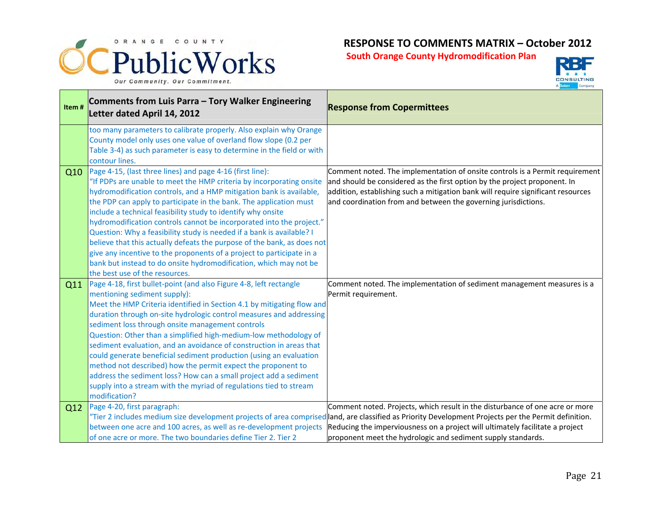



| Item# | Comments from Luis Parra - Tory Walker Engineering<br>Letter dated April 14, 2012                                                                                                                                                                                                                                                                                                                                                                                                                                                                                                                                                                                                                                                                          | <b>Response from Copermittees</b>                                                                                                                                                                                                                                                                                                                                                    |
|-------|------------------------------------------------------------------------------------------------------------------------------------------------------------------------------------------------------------------------------------------------------------------------------------------------------------------------------------------------------------------------------------------------------------------------------------------------------------------------------------------------------------------------------------------------------------------------------------------------------------------------------------------------------------------------------------------------------------------------------------------------------------|--------------------------------------------------------------------------------------------------------------------------------------------------------------------------------------------------------------------------------------------------------------------------------------------------------------------------------------------------------------------------------------|
|       | too many parameters to calibrate properly. Also explain why Orange<br>County model only uses one value of overland flow slope (0.2 per<br>Table 3-4) as such parameter is easy to determine in the field or with<br>contour lines.                                                                                                                                                                                                                                                                                                                                                                                                                                                                                                                         |                                                                                                                                                                                                                                                                                                                                                                                      |
| Q10   | Page 4-15, (last three lines) and page 4-16 (first line):<br>"If PDPs are unable to meet the HMP criteria by incorporating onsite<br>hydromodification controls, and a HMP mitigation bank is available,<br>the PDP can apply to participate in the bank. The application must<br>include a technical feasibility study to identify why onsite<br>hydromodification controls cannot be incorporated into the project."<br>Question: Why a feasibility study is needed if a bank is available? I<br>believe that this actually defeats the purpose of the bank, as does not<br>give any incentive to the proponents of a project to participate in a<br>bank but instead to do onsite hydromodification, which may not be<br>the best use of the resources. | Comment noted. The implementation of onsite controls is a Permit requirement<br>and should be considered as the first option by the project proponent. In<br>addition, establishing such a mitigation bank will require significant resources<br>and coordination from and between the governing jurisdictions.                                                                      |
| Q11   | Page 4-18, first bullet-point (and also Figure 4-8, left rectangle<br>mentioning sediment supply):<br>Meet the HMP Criteria identified in Section 4.1 by mitigating flow and<br>duration through on-site hydrologic control measures and addressing<br>sediment loss through onsite management controls<br>Question: Other than a simplified high-medium-low methodology of<br>sediment evaluation, and an avoidance of construction in areas that<br>could generate beneficial sediment production (using an evaluation<br>method not described) how the permit expect the proponent to<br>address the sediment loss? How can a small project add a sediment<br>supply into a stream with the myriad of regulations tied to stream<br>modification?       | Comment noted. The implementation of sediment management measures is a<br>Permit requirement.                                                                                                                                                                                                                                                                                        |
| Q12   | Page 4-20, first paragraph:<br>between one acre and 100 acres, as well as re-development projects<br>of one acre or more. The two boundaries define Tier 2. Tier 2                                                                                                                                                                                                                                                                                                                                                                                                                                                                                                                                                                                         | Comment noted. Projects, which result in the disturbance of one acre or more<br>"Tier 2 includes medium size development projects of area comprised and, are classified as Priority Development Projects per the Permit definition.<br>Reducing the imperviousness on a project will ultimately facilitate a project<br>proponent meet the hydrologic and sediment supply standards. |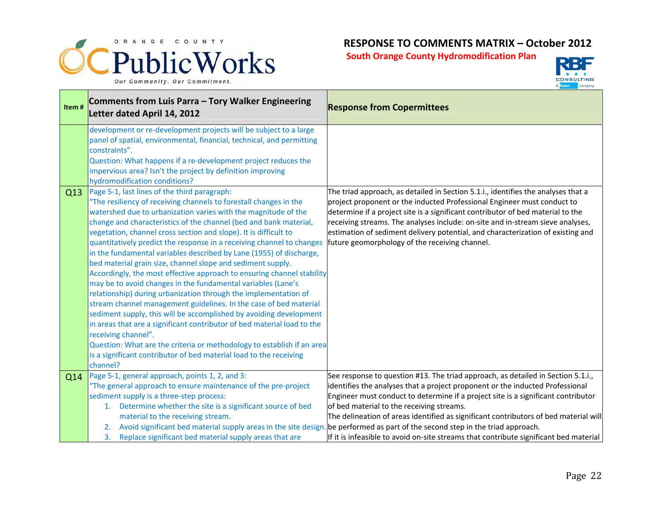



| Item# | Comments from Luis Parra - Tory Walker Engineering<br>Letter dated April 14, 2012                                                                                                                                                                                                                                                                                                                                                                                                                                                                                                                                                                                                                                                                                                                                                                                                                                                                                                                                                                                                                                                                                 | <b>Response from Copermittees</b>                                                                                                                                                                                                                                                                                                                                                                                                                                                                                             |
|-------|-------------------------------------------------------------------------------------------------------------------------------------------------------------------------------------------------------------------------------------------------------------------------------------------------------------------------------------------------------------------------------------------------------------------------------------------------------------------------------------------------------------------------------------------------------------------------------------------------------------------------------------------------------------------------------------------------------------------------------------------------------------------------------------------------------------------------------------------------------------------------------------------------------------------------------------------------------------------------------------------------------------------------------------------------------------------------------------------------------------------------------------------------------------------|-------------------------------------------------------------------------------------------------------------------------------------------------------------------------------------------------------------------------------------------------------------------------------------------------------------------------------------------------------------------------------------------------------------------------------------------------------------------------------------------------------------------------------|
|       | development or re-development projects will be subject to a large<br>panel of spatial, environmental, financial, technical, and permitting<br>constraints".<br>Question: What happens if a re-development project reduces the<br>impervious area? Isn't the project by definition improving<br>hydromodification conditions?                                                                                                                                                                                                                                                                                                                                                                                                                                                                                                                                                                                                                                                                                                                                                                                                                                      |                                                                                                                                                                                                                                                                                                                                                                                                                                                                                                                               |
| Q13   | Page 5-1, last lines of the third paragraph:<br>"The resiliency of receiving channels to forestall changes in the<br>watershed due to urbanization varies with the magnitude of the<br>change and characteristics of the channel (bed and bank material,<br>vegetation, channel cross section and slope). It is difficult to<br>quantitatively predict the response in a receiving channel to changes<br>in the fundamental variables described by Lane (1955) of discharge,<br>bed material grain size, channel slope and sediment supply.<br>Accordingly, the most effective approach to ensuring channel stability<br>may be to avoid changes in the fundamental variables (Lane's<br>relationship) during urbanization through the implementation of<br>stream channel management guidelines. In the case of bed material<br>sediment supply, this will be accomplished by avoiding development<br>in areas that are a significant contributor of bed material load to the<br>receiving channel".<br>Question: What are the criteria or methodology to establish if an area<br>is a significant contributor of bed material load to the receiving<br>channel? | The triad approach, as detailed in Section 5.1.i., identifies the analyses that a<br>project proponent or the inducted Professional Engineer must conduct to<br>determine if a project site is a significant contributor of bed material to the<br>receiving streams. The analyses include: on-site and in-stream sieve analyses,<br>estimation of sediment delivery potential, and characterization of existing and<br>future geomorphology of the receiving channel.                                                        |
| Q14   | Page 5-1, general approach, points 1, 2, and 3:<br>"The general approach to ensure maintenance of the pre-project<br>sediment supply is a three-step process:<br>Determine whether the site is a significant source of bed<br>1.<br>material to the receiving stream.<br>2.                                                                                                                                                                                                                                                                                                                                                                                                                                                                                                                                                                                                                                                                                                                                                                                                                                                                                       | See response to question #13. The triad approach, as detailed in Section 5.1.i.,<br>identifies the analyses that a project proponent or the inducted Professional<br>Engineer must conduct to determine if a project site is a significant contributor<br>of bed material to the receiving streams.<br>The delineation of areas identified as significant contributors of bed material will<br>Avoid significant bed material supply areas in the site design. be performed as part of the second step in the triad approach. |
|       | 3. Replace significant bed material supply areas that are                                                                                                                                                                                                                                                                                                                                                                                                                                                                                                                                                                                                                                                                                                                                                                                                                                                                                                                                                                                                                                                                                                         | If it is infeasible to avoid on-site streams that contribute significant bed material                                                                                                                                                                                                                                                                                                                                                                                                                                         |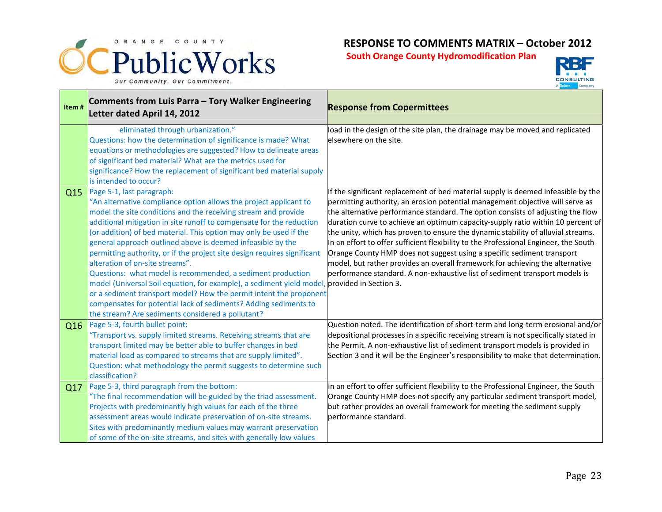



| Item# | Comments from Luis Parra - Tory Walker Engineering<br>Letter dated April 14, 2012                                                                                                                                                                                                                                                                                                                                                                                                                                                                                                                                                                                                                                                                                                                                                                          | <b>Response from Copermittees</b>                                                                                                                                                                                                                                                                                                                                                                                                                                                                                                                                                                                                                                                                                                                              |
|-------|------------------------------------------------------------------------------------------------------------------------------------------------------------------------------------------------------------------------------------------------------------------------------------------------------------------------------------------------------------------------------------------------------------------------------------------------------------------------------------------------------------------------------------------------------------------------------------------------------------------------------------------------------------------------------------------------------------------------------------------------------------------------------------------------------------------------------------------------------------|----------------------------------------------------------------------------------------------------------------------------------------------------------------------------------------------------------------------------------------------------------------------------------------------------------------------------------------------------------------------------------------------------------------------------------------------------------------------------------------------------------------------------------------------------------------------------------------------------------------------------------------------------------------------------------------------------------------------------------------------------------------|
|       | eliminated through urbanization."<br>Questions: how the determination of significance is made? What<br>equations or methodologies are suggested? How to delineate areas<br>of significant bed material? What are the metrics used for<br>significance? How the replacement of significant bed material supply<br>is intended to occur?                                                                                                                                                                                                                                                                                                                                                                                                                                                                                                                     | load in the design of the site plan, the drainage may be moved and replicated<br>elsewhere on the site.                                                                                                                                                                                                                                                                                                                                                                                                                                                                                                                                                                                                                                                        |
| Q15   | Page 5-1, last paragraph:<br>"An alternative compliance option allows the project applicant to<br>model the site conditions and the receiving stream and provide<br>additional mitigation in site runoff to compensate for the reduction<br>(or addition) of bed material. This option may only be used if the<br>general approach outlined above is deemed infeasible by the<br>permitting authority, or if the project site design requires significant<br>alteration of on-site streams".<br>Questions: what model is recommended, a sediment production<br>model (Universal Soil equation, for example), a sediment yield model, provided in Section 3.<br>or a sediment transport model? How the permit intent the proponent<br>compensates for potential lack of sediments? Adding sediments to<br>the stream? Are sediments considered a pollutant? | If the significant replacement of bed material supply is deemed infeasible by the<br>permitting authority, an erosion potential management objective will serve as<br>the alternative performance standard. The option consists of adjusting the flow<br>duration curve to achieve an optimum capacity-supply ratio within 10 percent of<br>the unity, which has proven to ensure the dynamic stability of alluvial streams.<br>In an effort to offer sufficient flexibility to the Professional Engineer, the South<br>Orange County HMP does not suggest using a specific sediment transport<br>model, but rather provides an overall framework for achieving the alternative<br>performance standard. A non-exhaustive list of sediment transport models is |
| Q16   | Page 5-3, fourth bullet point:<br>'Transport vs. supply limited streams. Receiving streams that are<br>transport limited may be better able to buffer changes in bed<br>material load as compared to streams that are supply limited".<br>Question: what methodology the permit suggests to determine such<br>classification?                                                                                                                                                                                                                                                                                                                                                                                                                                                                                                                              | Question noted. The identification of short-term and long-term erosional and/or<br>depositional processes in a specific receiving stream is not specifically stated in<br>the Permit. A non-exhaustive list of sediment transport models is provided in<br>Section 3 and it will be the Engineer's responsibility to make that determination.                                                                                                                                                                                                                                                                                                                                                                                                                  |
| Q17   | Page 5-3, third paragraph from the bottom:<br>"The final recommendation will be guided by the triad assessment.<br>Projects with predominantly high values for each of the three<br>assessment areas would indicate preservation of on-site streams.<br>Sites with predominantly medium values may warrant preservation<br>of some of the on-site streams, and sites with generally low values                                                                                                                                                                                                                                                                                                                                                                                                                                                             | In an effort to offer sufficient flexibility to the Professional Engineer, the South<br>Orange County HMP does not specify any particular sediment transport model,<br>but rather provides an overall framework for meeting the sediment supply<br>performance standard.                                                                                                                                                                                                                                                                                                                                                                                                                                                                                       |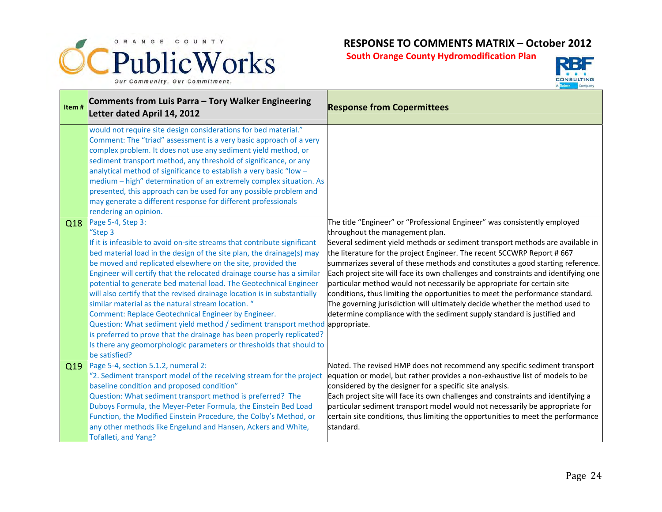



| Item# | Comments from Luis Parra - Tory Walker Engineering<br>Letter dated April 14, 2012                                                                                                                                                                                                                                                                                                                                                                                                                                                                                                                                                                                                                                                                                                                                                           | <b>Response from Copermittees</b>                                                                                                                                                                                                                                                                                                                                                                                                                                                                                                                                                                                                                                                                                                                                       |
|-------|---------------------------------------------------------------------------------------------------------------------------------------------------------------------------------------------------------------------------------------------------------------------------------------------------------------------------------------------------------------------------------------------------------------------------------------------------------------------------------------------------------------------------------------------------------------------------------------------------------------------------------------------------------------------------------------------------------------------------------------------------------------------------------------------------------------------------------------------|-------------------------------------------------------------------------------------------------------------------------------------------------------------------------------------------------------------------------------------------------------------------------------------------------------------------------------------------------------------------------------------------------------------------------------------------------------------------------------------------------------------------------------------------------------------------------------------------------------------------------------------------------------------------------------------------------------------------------------------------------------------------------|
|       | would not require site design considerations for bed material."<br>Comment: The "triad" assessment is a very basic approach of a very<br>complex problem. It does not use any sediment yield method, or<br>sediment transport method, any threshold of significance, or any<br>analytical method of significance to establish a very basic "low -<br>medium - high" determination of an extremely complex situation. As<br>presented, this approach can be used for any possible problem and<br>may generate a different response for different professionals<br>rendering an opinion.                                                                                                                                                                                                                                                      |                                                                                                                                                                                                                                                                                                                                                                                                                                                                                                                                                                                                                                                                                                                                                                         |
| Q18   | Page 5-4, Step 3:<br>"Step 3<br>If it is infeasible to avoid on-site streams that contribute significant<br>bed material load in the design of the site plan, the drainage(s) may<br>be moved and replicated elsewhere on the site, provided the<br>Engineer will certify that the relocated drainage course has a similar<br>potential to generate bed material load. The Geotechnical Engineer<br>will also certify that the revised drainage location is in substantially<br>similar material as the natural stream location. "<br>Comment: Replace Geotechnical Engineer by Engineer.<br>Question: What sediment yield method / sediment transport method appropriate.<br>is preferred to prove that the drainage has been properly replicated?<br>Is there any geomorphologic parameters or thresholds that should to<br>be satisfied? | The title "Engineer" or "Professional Engineer" was consistently employed<br>throughout the management plan.<br>Several sediment yield methods or sediment transport methods are available in<br>the literature for the project Engineer. The recent SCCWRP Report # 667<br>summarizes several of these methods and constitutes a good starting reference.<br>Each project site will face its own challenges and constraints and identifying one<br>particular method would not necessarily be appropriate for certain site<br>conditions, thus limiting the opportunities to meet the performance standard.<br>The governing jurisdiction will ultimately decide whether the method used to<br>determine compliance with the sediment supply standard is justified and |
| Q19   | Page 5-4, section 5.1.2, numeral 2:<br>"2. Sediment transport model of the receiving stream for the project<br>baseline condition and proposed condition"<br>Question: What sediment transport method is preferred? The<br>Duboys Formula, the Meyer-Peter Formula, the Einstein Bed Load<br>Function, the Modified Einstein Procedure, the Colby's Method, or<br>any other methods like Engelund and Hansen, Ackers and White,<br>Tofalleti, and Yang?                                                                                                                                                                                                                                                                                                                                                                                     | Noted. The revised HMP does not recommend any specific sediment transport<br>equation or model, but rather provides a non-exhaustive list of models to be<br>considered by the designer for a specific site analysis.<br>Each project site will face its own challenges and constraints and identifying a<br>particular sediment transport model would not necessarily be appropriate for<br>certain site conditions, thus limiting the opportunities to meet the performance<br>standard.                                                                                                                                                                                                                                                                              |